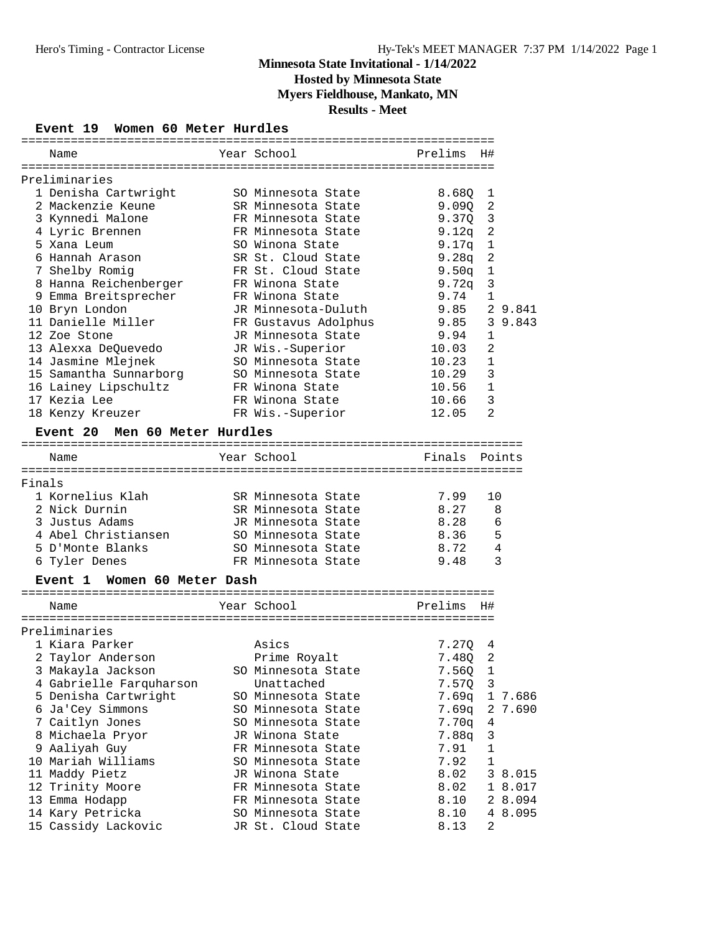## **Hosted by Minnesota State**

**Myers Fieldhouse, Mankato, MN**

**Results - Meet**

## **Event 19 Women 60 Meter Hurdles**

|        | Name                             | Year School          | Prelims | H#             |         |
|--------|----------------------------------|----------------------|---------|----------------|---------|
|        |                                  |                      |         |                |         |
|        | Preliminaries                    |                      |         |                |         |
|        | 1 Denisha Cartwright             | SO Minnesota State   | 8.680   | 1              |         |
|        | 2 Mackenzie Keune                | SR Minnesota State   | 9.090   | 2              |         |
|        | 3 Kynnedi Malone                 | FR Minnesota State   | 9.370   | 3              |         |
|        | 4 Lyric Brennen                  | FR Minnesota State   | 9.12q   | 2              |         |
|        | 5 Xana Leum                      | SO Winona State      | 9.17q   | 1              |         |
|        | 6 Hannah Arason                  | SR St. Cloud State   | 9.28q   | 2              |         |
|        | 7 Shelby Romig                   | FR St. Cloud State   | 9.50q   | 1              |         |
|        | 8 Hanna Reichenberger            | FR Winona State      | 9.72q   | 3              |         |
|        | 9 Emma Breitsprecher             | FR Winona State      | 9.74    | $\mathbf{1}$   |         |
|        | 10 Bryn London                   | JR Minnesota-Duluth  | 9.85    |                | 2 9.841 |
|        | 11 Danielle Miller               | FR Gustavus Adolphus | 9.85    |                | 3 9.843 |
|        | 12 Zoe Stone                     | JR Minnesota State   | 9.94    | 1              |         |
|        | 13 Alexxa DeQuevedo              | JR Wis.-Superior     | 10.03   | $\overline{2}$ |         |
|        | 14 Jasmine Mlejnek               | SO Minnesota State   | 10.23   | $\mathbf{1}$   |         |
|        | 15 Samantha Sunnarborg           | SO Minnesota State   | 10.29   | 3              |         |
|        | 16 Lainey Lipschultz             | FR Winona State      | 10.56   | 1              |         |
|        | 17 Kezia Lee                     | FR Winona State      | 10.66   | 3              |         |
|        | 18 Kenzy Kreuzer                 | FR Wis.-Superior     | 12.05   | 2              |         |
|        | Men 60 Meter Hurdles<br>Event 20 |                      |         |                |         |
|        | Name                             | Year School          | Finals  |                | Points  |
|        |                                  |                      |         |                |         |
| Finals |                                  |                      |         |                |         |
|        | 1 Kornelius Klah                 | SR Minnesota State   | 7.99    | 10             |         |
|        | 2 Nick Durnin                    | SR Minnesota State   | 8.27    | 8              |         |
|        | 3 Justus Adams                   | JR Minnesota State   | 8.28    | 6              |         |
|        | 4 Abel Christiansen              | SO Minnesota State   | 8.36    | 5              |         |
|        | 5 D'Monte Blanks                 | SO Minnesota State   | 8.72    | 4              |         |
|        | 6 Tyler Denes                    | FR Minnesota State   | 9.48    |                | 3       |
|        | Event 1 Women 60 Meter Dash      |                      |         |                |         |
|        | Name                             | Year School          | Prelims | H#             |         |
|        |                                  |                      |         |                |         |
|        | Preliminaries                    |                      |         |                |         |
|        | 1 Kiara Parker                   | Asics                | 7.270   | 4              |         |
|        | 2 Taylor Anderson                | Prime Royalt         | 7.480   | 2              |         |
|        | 3 Makayla Jackson                | SO Minnesota State   | 7.56Q   | 1              |         |
|        | 4 Gabrielle Farquharson          | Unattached           | 7.57Q   | 3              |         |
|        | 5 Denisha Cartwright             | SO Minnesota State   | 7.69q   |                | 1 7.686 |
|        | 6 Ja'Cey Simmons                 | SO Minnesota State   | 7.69q   | 2              | 7.690   |
|        | 7 Caitlyn Jones                  | SO Minnesota State   | 7.70q   | 4              |         |
|        | 8 Michaela Pryor                 | JR Winona State      | 7.88q   | 3              |         |
|        | 9 Aaliyah Guy                    | FR Minnesota State   | 7.91    | 1              |         |
|        | 10 Mariah Williams               | SO Minnesota State   | 7.92    | 1              |         |
|        | 11 Maddy Pietz                   | JR Winona State      | 8.02    |                | 3 8.015 |
|        | 12 Trinity Moore                 | FR Minnesota State   | 8.02    |                | 1 8.017 |
|        | 13 Emma Hodapp                   | FR Minnesota State   | 8.10    |                | 2 8.094 |
|        | 14 Kary Petricka                 | SO Minnesota State   | 8.10    |                | 4 8.095 |
|        | 15 Cassidy Lackovic              | JR St. Cloud State   | 8.13    | 2              |         |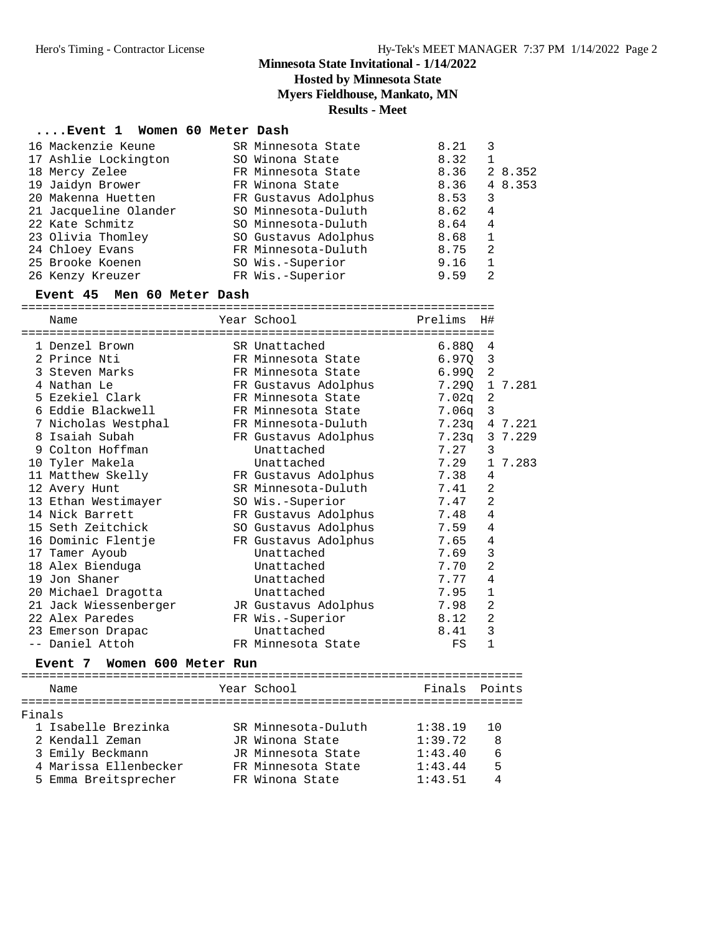**Hosted by Minnesota State**

**Myers Fieldhouse, Mankato, MN**

**Results - Meet**

#### **....Event 1 Women 60 Meter Dash**

| 16 Mackenzie Keune    | SR Minnesota State   | 8.21 |         |
|-----------------------|----------------------|------|---------|
| 17 Ashlie Lockington  | SO Winona State      | 8.32 |         |
| 18 Mercy Zelee        | FR Minnesota State   | 8.36 | 2 8.352 |
| 19 Jaidyn Brower      | FR Winona State      | 8.36 | 4 8.353 |
| 20 Makenna Huetten    | FR Gustavus Adolphus | 8.53 | 3       |
| 21 Jacqueline Olander | SO Minnesota-Duluth  | 8.62 | 4       |
| 22 Kate Schmitz       | SO Minnesota-Duluth  | 8.64 | 4       |
| 23 Olivia Thomley     | SO Gustavus Adolphus | 8.68 | 1       |
| 24 Chloey Evans       | FR Minnesota-Duluth  | 8.75 | 2       |
| 25 Brooke Koenen      | SO Wis.-Superior     | 9.16 |         |
| 26 Kenzy Kreuzer      | FR Wis.-Superior     | 9.59 | 2       |

#### **Event 45 Men 60 Meter Dash**

|  | Name                                   |  | Year School                     | Prelims | H#             |         |  |
|--|----------------------------------------|--|---------------------------------|---------|----------------|---------|--|
|  | :===================================== |  | =============================== |         |                |         |  |
|  | 1 Denzel Brown                         |  | SR Unattached                   | 6.880   | 4              |         |  |
|  | 2 Prince Nti                           |  | FR Minnesota State              | 6.970   | 3              |         |  |
|  | 3 Steven Marks                         |  | FR Minnesota State              | 6.990   | 2              |         |  |
|  | 4 Nathan Le                            |  | FR Gustavus Adolphus            | 7.29Q   |                | 1 7.281 |  |
|  | 5 Ezekiel Clark                        |  | FR Minnesota State              | 7.02q   | 2              |         |  |
|  | 6 Eddie Blackwell                      |  | FR Minnesota State              | 7.06a   | 3              |         |  |
|  | 7 Nicholas Westphal                    |  | FR Minnesota-Duluth             | 7.23q   |                | 4 7.221 |  |
|  | 8 Isaiah Subah                         |  | FR Gustavus Adolphus            | 7.23q   |                | 3 7.229 |  |
|  | 9 Colton Hoffman                       |  | Unattached                      | 7.27    | 3              |         |  |
|  | 10 Tyler Makela                        |  | Unattached                      | 7.29    |                | 1 7.283 |  |
|  | 11 Matthew Skelly TR Gustavus Adolphus |  |                                 | 7.38    | 4              |         |  |
|  | 12 Avery Hunt                          |  | SR Minnesota-Duluth             | 7.41    | 2              |         |  |
|  | 13 Ethan Westimayer                    |  | SO Wis.-Superior                | 7.47    | $\overline{2}$ |         |  |
|  | 14 Nick Barrett                        |  | FR Gustavus Adolphus            | 7.48    | 4              |         |  |
|  | 15 Seth Zeitchick                      |  | SO Gustavus Adolphus            | 7.59    | 4              |         |  |
|  | 16 Dominic Flentje                     |  | FR Gustavus Adolphus            | 7.65    | $\overline{4}$ |         |  |
|  | 17 Tamer Ayoub                         |  | Unattached                      | 7.69    | 3              |         |  |
|  | 18 Alex Bienduga                       |  | Unattached                      | 7.70    | $\overline{a}$ |         |  |
|  | 19 Jon Shaner                          |  | Unattached                      | 7.77    | $\overline{4}$ |         |  |
|  | 20 Michael Dragotta                    |  | Unattached                      | 7.95    | $1\,$          |         |  |
|  | 21 Jack Wiessenberger                  |  | JR Gustavus Adolphus            | 7.98    | $\overline{c}$ |         |  |
|  | 22 Alex Paredes                        |  | FR Wis.-Superior                | 8.12    | $\overline{a}$ |         |  |
|  | 23 Emerson Drapac                      |  | Unattached                      | 8.41    | 3              |         |  |
|  | -- Daniel Attoh                        |  | FR Minnesota State              | FS      | $\mathbf{1}$   |         |  |
|  | Event 7 Women 600 Meter Run            |  |                                 |         |                |         |  |

#### ======================================================================= Name The Year School Team Points Points ======================================================================= Finals 1 Isabelle Brezinka SR Minnesota-Duluth 1:38.19 10 2 Kendall Zeman JR Winona State 1:39.72 8 3 Emily Beckmann JR Minnesota State 1:43.40 6 4 Marissa Ellenbecker FR Minnesota State 1:43.44 5 5 Emma Breitsprecher FR Winona State 1:43.51 4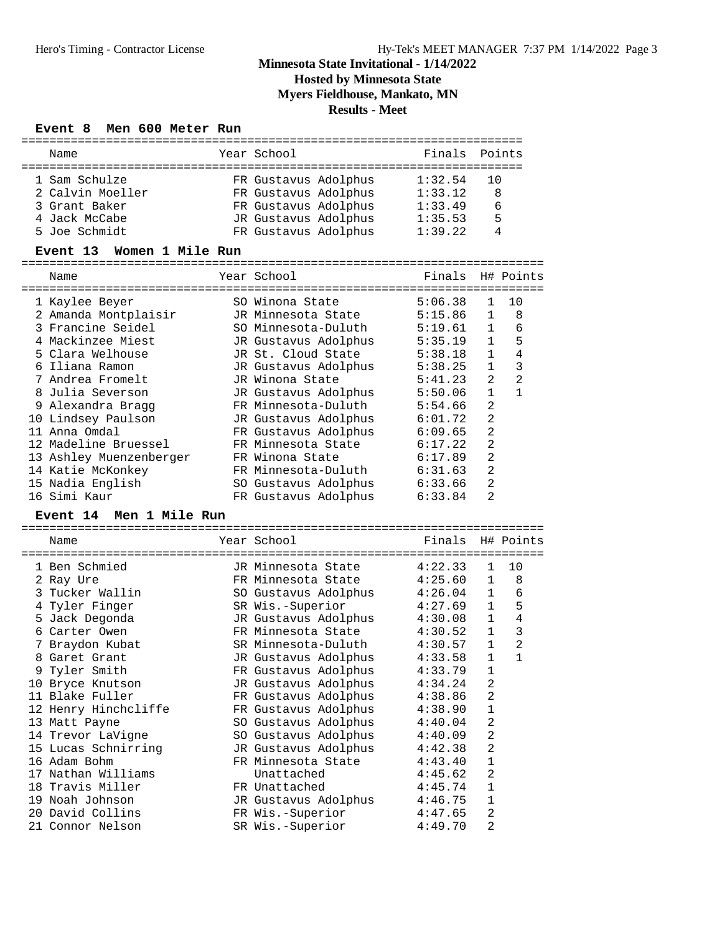**Hosted by Minnesota State**

**Myers Fieldhouse, Mankato, MN**

**Results - Meet**

# **Event 8 Men 600 Meter Run**

| Name                                 | Year School                                | Finals             |                 | Points         |
|--------------------------------------|--------------------------------------------|--------------------|-----------------|----------------|
|                                      |                                            |                    |                 |                |
| 1 Sam Schulze                        | FR Gustavus Adolphus                       | 1:32.54            | 10              |                |
| 2 Calvin Moeller                     | FR Gustavus Adolphus                       | 1:33.12            | 8               |                |
| 3 Grant Baker                        | FR Gustavus Adolphus                       | 1:33.49            | 6               |                |
| 4 Jack McCabe                        | JR Gustavus Adolphus                       | 1:35.53            | 5               |                |
| 5 Joe Schmidt                        | FR Gustavus Adolphus                       | 1:39.22            | 4               |                |
| Event 13 Women 1 Mile Run            |                                            |                    |                 |                |
|                                      |                                            |                    |                 |                |
| Name                                 | Year School                                | Finals             |                 | H# Points      |
|                                      |                                            |                    |                 |                |
| 1 Kaylee Beyer                       | SO Winona State                            | 5:06.38            | 1               | 10             |
| 2 Amanda Montplaisir                 | JR Minnesota State                         | 5:15.86            | $\mathbf{1}$    | 8              |
| 3 Francine Seidel                    | SO Minnesota-Duluth                        | 5:19.61            | 1               | 6              |
| 4 Mackinzee Miest                    | JR Gustavus Adolphus                       | 5:35.19            | $\mathbf{1}$    | 5              |
| 5 Clara Welhouse                     | JR St. Cloud State                         | 5:38.18            | $\mathbf{1}$    | $\overline{4}$ |
| 6 Iliana Ramon                       | JR Gustavus Adolphus                       | 5:38.25            | $\mathbf{1}$    | 3              |
| 7 Andrea Fromelt                     | JR Winona State                            | 5:41.23            | 2               | $\overline{2}$ |
| 8 Julia Severson                     | JR Gustavus Adolphus                       | 5:50.06            | $\mathbf{1}$    | $\mathbf{1}$   |
| 9 Alexandra Bragg                    | FR Minnesota-Duluth                        | 5:54.66            | $\overline{2}$  |                |
|                                      |                                            | 6:01.72            | $\overline{2}$  |                |
| 10 Lindsey Paulson<br>11 Anna Omdal  | JR Gustavus Adolphus                       | 6:09.65            | $\overline{c}$  |                |
| 12 Madeline Bruessel                 | FR Gustavus Adolphus<br>FR Minnesota State |                    | $\overline{2}$  |                |
|                                      |                                            | 6:17.22            | $\overline{2}$  |                |
| 13 Ashley Muenzenberger              | FR Winona State                            | 6:17.89            |                 |                |
| 14 Katie McKonkey                    | FR Minnesota-Duluth                        | 6:31.63            | $\overline{2}$  |                |
| 15 Nadia English                     | SO Gustavus Adolphus                       | 6:33.66            | $\overline{2}$  |                |
| 16 Simi Kaur                         | FR Gustavus Adolphus                       | 6:33.84            | $\overline{a}$  |                |
| Men 1 Mile Run<br><b>Event 14</b>    |                                            |                    |                 |                |
|                                      |                                            |                    |                 |                |
| Name                                 | Year School                                | Finals             |                 | H# Points      |
|                                      |                                            |                    |                 |                |
| 1 Ben Schmied                        | JR Minnesota State                         | 4:22.33            | 1               | 10             |
| 2 Ray Ure                            | FR Minnesota State                         | 4:25.60            | 1               | 8              |
| 3 Tucker Wallin                      | SO Gustavus Adolphus                       | 4:26.04            | $\mathbf{1}$    | 6              |
| 4 Tyler Finger                       | SR Wis.-Superior                           | 4:27.69            | $\mathbf{1}$    | 5<br>4         |
| 5 Jack Degonda                       |                                            |                    |                 |                |
|                                      | JR Gustavus Adolphus                       | 4:30.08            | $\mathbf{1}$    |                |
| 6 Carter Owen                        | FR Minnesota State                         | 4:30.52            | $\mathbf{1}$    | 3              |
| 7 Braydon Kubat                      | SR Minnesota-Duluth                        | 4:30.57            | $\mathbf{1}$    | $\overline{2}$ |
| 8 Garet Grant                        | JR Gustavus Adolphus                       | 4:33.58            | 1               | $\mathbf{1}$   |
| 9 Tyler Smith                        | FR Gustavus Adolphus                       | 4:33.79            | 1               |                |
| 10 Bryce Knutson                     | JR Gustavus Adolphus                       | 4:34.24            | 2               |                |
| 11 Blake Fuller                      | FR Gustavus Adolphus                       | 4:38.86            | 2               |                |
| 12 Henry Hinchcliffe                 | FR Gustavus Adolphus                       | 4:38.90            | $\mathbf 1$     |                |
| 13 Matt Payne                        | SO Gustavus Adolphus                       | 4:40.04            | 2               |                |
| 14 Trevor LaVigne                    | SO Gustavus Adolphus                       | 4:40.09            | 2               |                |
| 15 Lucas Schnirring                  | JR Gustavus Adolphus                       | 4:42.38            | $\overline{c}$  |                |
| 16 Adam Bohm                         | FR Minnesota State                         | 4:43.40            | $\mathbf 1$     |                |
| 17 Nathan Williams                   | Unattached                                 | 4:45.62            | 2               |                |
| 18 Travis Miller                     | FR Unattached                              | 4:45.74            | $\mathbf 1$     |                |
| 19 Noah Johnson                      | JR Gustavus Adolphus                       | 4:46.75            | $\mathbf 1$     |                |
| 20 David Collins<br>21 Connor Nelson | FR Wis.-Superior<br>SR Wis.-Superior       | 4:47.65<br>4:49.70 | 2<br>$\sqrt{2}$ |                |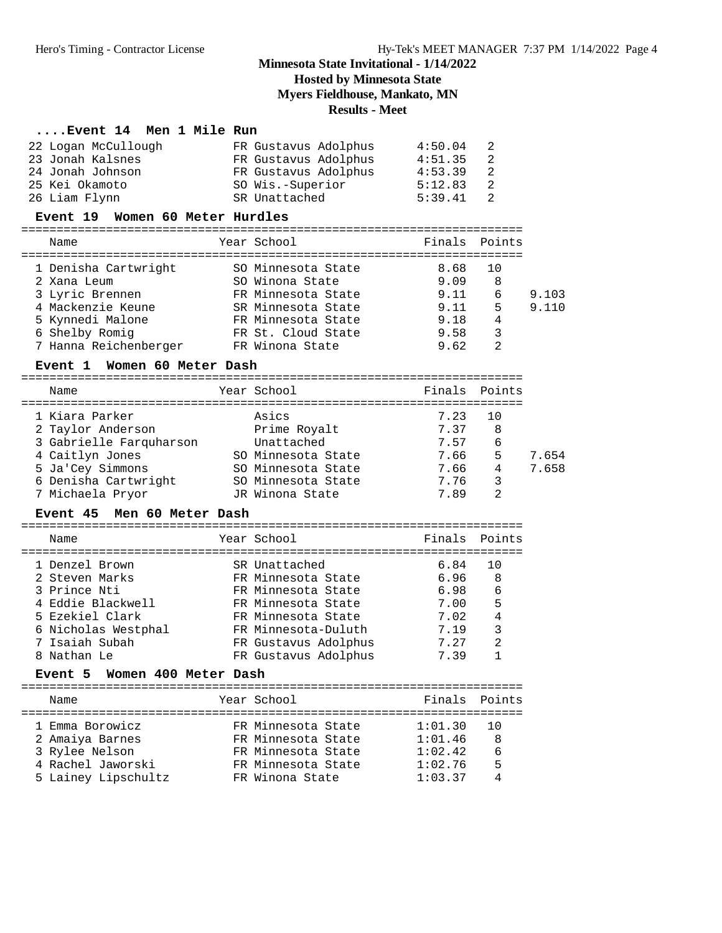## **Hosted by Minnesota State**

**Myers Fieldhouse, Mankato, MN**

## **Results - Meet**

## **....Event 14 Men 1 Mile Run**

| 22 Logan McCullough | FR Gustavus Adolphus | 4:50.04 | -2   |
|---------------------|----------------------|---------|------|
| 23 Jonah Kalsnes    | FR Gustavus Adolphus | 4:51.35 | -2   |
| 24 Jonah Johnson    | FR Gustavus Adolphus | 4:53.39 | - 2. |
| 25 Kei Okamoto      | SO Wis.-Superior     | 5:12.83 | 2    |
| 26 Liam Flynn       | SR Unattached        | 5:39.41 | - 2. |
|                     |                      |         |      |

#### **Event 19 Women 60 Meter Hurdles**

| Name                  | Year School        | Finals Points |                |       |
|-----------------------|--------------------|---------------|----------------|-------|
| 1 Denisha Cartwright  | SO Minnesota State | 8.68          | 10             |       |
| 2 Xana Leum           | SO Winona State    | 9.09          | 8              |       |
| 3 Lyric Brennen       | FR Minnesota State | 9.11          | 6              | 9.103 |
| 4 Mackenzie Keune     | SR Minnesota State | 9.11          | 5              | 9.110 |
| 5 Kynnedi Malone      | FR Minnesota State | 9.18          | 4              |       |
| 6 Shelby Romig        | FR St. Cloud State | 9.58          | 3              |       |
| 7 Hanna Reichenberger | FR Winona State    | 9.62          | $\mathfrak{D}$ |       |

# **Event 1 Women 60 Meter Dash** =======================================================================

| Name                    | Year School        | Finals Points |                |       |
|-------------------------|--------------------|---------------|----------------|-------|
|                         |                    |               |                |       |
| 1 Kiara Parker          | Asics              | 7.23          | 1 O            |       |
| 2 Taylor Anderson       | Prime Royalt       | 7.37          | 8              |       |
| 3 Gabrielle Farquharson | Unattached         | 7.57          | 6              |       |
| 4 Caitlyn Jones         | SO Minnesota State | 7.66          | 5              | 7.654 |
| 5 Ja'Cey Simmons        | SO Minnesota State | 7.66          | 4              | 7.658 |
| 6 Denisha Cartwright    | SO Minnesota State | 7.76          | 3              |       |
| 7 Michaela Pryor        | JR Winona State    | 7.89          | $\mathfrak{D}$ |       |

# **Event 45 Men 60 Meter Dash** =======================================================================

| Name                                                                                                                                             | Year School |                                                                                                                                                                              | Finals Points                                                |                                    |
|--------------------------------------------------------------------------------------------------------------------------------------------------|-------------|------------------------------------------------------------------------------------------------------------------------------------------------------------------------------|--------------------------------------------------------------|------------------------------------|
| 1 Denzel Brown<br>2 Steven Marks<br>3 Prince Nti<br>4 Eddie Blackwell<br>5 Ezekiel Clark<br>6 Nicholas Westphal<br>7 Isaiah Subah<br>8 Nathan Le |             | SR Unattached<br>FR Minnesota State<br>FR Minnesota State<br>FR Minnesota State<br>FR Minnesota State<br>FR Minnesota-Duluth<br>FR Gustavus Adolphus<br>FR Gustavus Adolphus | 6.84<br>6.96<br>6.98<br>7.00<br>7.02<br>7.19<br>7.27<br>7.39 | 10<br>- 8<br>6<br>5<br>4<br>3<br>2 |

## **Event 5 Women 400 Meter Dash**

| Name                | Year School        | Finals Points |      |
|---------------------|--------------------|---------------|------|
|                     |                    |               |      |
| 1 Emma Borowicz     | FR Minnesota State | 1:01.30       | - 10 |
| 2 Amaiya Barnes     | FR Minnesota State | 1:01.46       | 8    |
| 3 Rylee Nelson      | FR Minnesota State | 1:02.42       | 6    |
| 4 Rachel Jaworski   | FR Minnesota State | 1:02.76       | 5    |
| 5 Lainey Lipschultz | FR Winona State    | 1:03.37       | Δ    |
|                     |                    |               |      |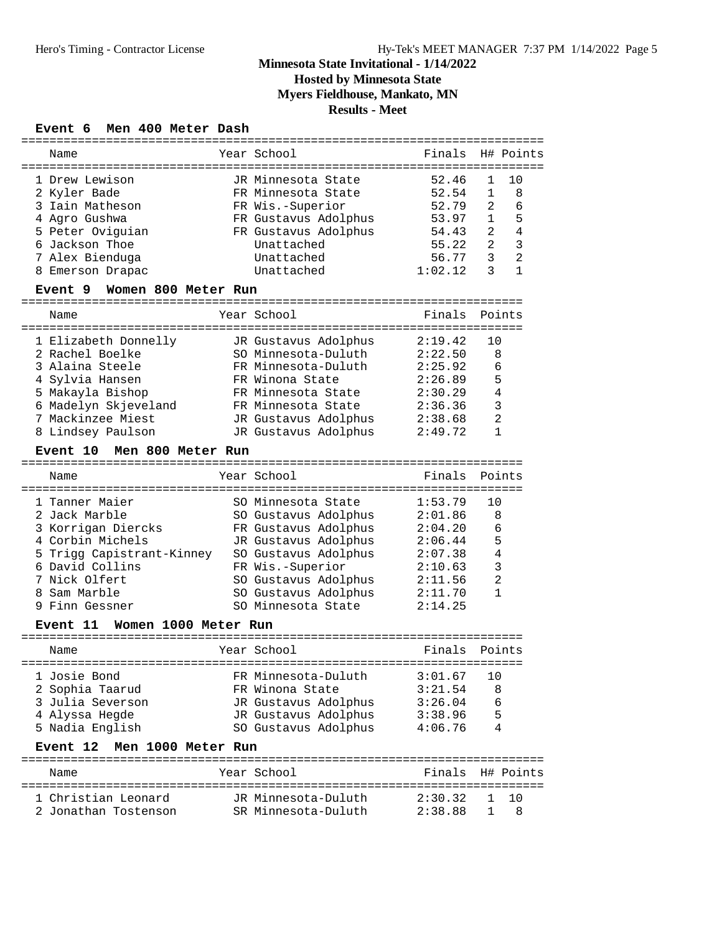**Hosted by Minnesota State**

**Myers Fieldhouse, Mankato, MN**

## **Results - Meet**

## **Event 6 Men 400 Meter Dash**

| =================                |               |                                                |         |                |                |
|----------------------------------|---------------|------------------------------------------------|---------|----------------|----------------|
| Name                             |               | Year School                                    | Finals  |                | H# Points      |
|                                  |               |                                                |         |                |                |
| 1 Drew Lewison                   |               | JR Minnesota State                             | 52.46   | 1              | 10             |
| 2 Kyler Bade                     |               | FR Minnesota State                             | 52.54   | 1              | 8              |
| 3 Iain Matheson                  |               | FR Wis.-Superior                               | 52.79   | 2              | 6              |
| 4 Agro Gushwa                    |               | FR Gustavus Adolphus                           | 53.97   | $\mathbf{1}$   | 5              |
| 5 Peter Oviguian                 |               | FR Gustavus Adolphus                           | 54.43   | 2              | 4              |
| 6 Jackson Thoe                   |               | Unattached                                     | 55.22   | 2              | 3              |
| 7 Alex Bienduga                  |               | Unattached                                     | 56.77   | 3              | $\overline{2}$ |
| 8 Emerson Drapac                 |               | Unattached                                     | 1:02.12 | 3              | $\mathbf{1}$   |
| Women 800 Meter Run<br>Event 9   |               |                                                |         |                |                |
| Name                             |               | Year School                                    | Finals  |                | Points         |
|                                  |               |                                                |         |                |                |
| 1 Elizabeth Donnelly             |               | JR Gustavus Adolphus                           | 2:19.42 | 10             |                |
| 2 Rachel Boelke                  |               | SO Minnesota-Duluth                            | 2:22.50 | 8              |                |
| 3 Alaina Steele                  |               | FR Minnesota-Duluth                            | 2:25.92 | 6              |                |
| 4 Sylvia Hansen                  |               | FR Winona State                                | 2:26.89 | 5              |                |
| 5 Makayla Bishop                 |               | FR Minnesota State                             | 2:30.29 | 4              |                |
| 6 Madelyn Skjeveland             |               | FR Minnesota State                             | 2:36.36 | 3              |                |
| 7 Mackinzee Miest                |               | JR Gustavus Adolphus                           | 2:38.68 | 2              |                |
| 8 Lindsey Paulson                |               | JR Gustavus Adolphus                           | 2:49.72 | $\mathbf{1}$   |                |
| Men 800 Meter Run<br>Event 10    |               |                                                |         |                |                |
| Name                             | :============ | Year School                                    | Finals  |                | Points         |
| 1 Tanner Maier                   |               | SO Minnesota State                             | 1:53.79 | 10             |                |
| 2 Jack Marble                    |               | SO Gustavus Adolphus                           | 2:01.86 | 8              |                |
| 3 Korrigan Diercks               |               | FR Gustavus Adolphus                           | 2:04.20 | 6              |                |
| 4 Corbin Michels                 |               | JR Gustavus Adolphus                           | 2:06.44 | 5              |                |
| 5 Trigg Capistrant-Kinney        |               | SO Gustavus Adolphus                           | 2:07.38 | 4              |                |
| 6 David Collins                  |               | FR Wis.-Superior                               | 2:10.63 | 3              |                |
| 7 Nick Olfert                    |               | SO Gustavus Adolphus                           | 2:11.56 | $\overline{2}$ |                |
| 8 Sam Marble                     |               | SO Gustavus Adolphus                           | 2:11.70 | $\mathbf{1}$   |                |
| 9 Finn Gessner                   |               | SO Minnesota State                             | 2:14.25 |                |                |
|                                  |               |                                                |         |                |                |
| Women 1000 Meter Run<br>Event 11 |               |                                                |         |                |                |
| Name                             |               | Year School<br>. _ _ _ _ _ _ _ _ _ _ _ _ _ _ _ | Finals  |                | Points         |
| 1 Josie Bond                     |               | FR Minnesota-Duluth                            | 3:01.67 | 10             |                |
| 2 Sophia Taarud                  |               | FR Winona State                                | 3:21.54 | 8              |                |
| 3 Julia Severson                 |               | JR Gustavus Adolphus                           | 3:26.04 | 6              |                |
| 4 Alyssa Hegde                   |               | JR Gustavus Adolphus                           | 3:38.96 | 5              |                |
| 5 Nadia English                  |               | SO Gustavus Adolphus                           | 4:06.76 | 4              |                |
| Event 12<br>Men 1000 Meter Run   |               |                                                |         |                |                |
| Name                             |               | Year School                                    | Finals  |                | H# Points      |
|                                  |               |                                                |         |                |                |
| 1 Christian Leonard              |               | JR Minnesota-Duluth                            | 2:30.32 | 1              | 10             |
| 2 Jonathan Tostenson             |               | SR Minnesota-Duluth                            | 2:38.88 | 1              | 8              |
|                                  |               |                                                |         |                |                |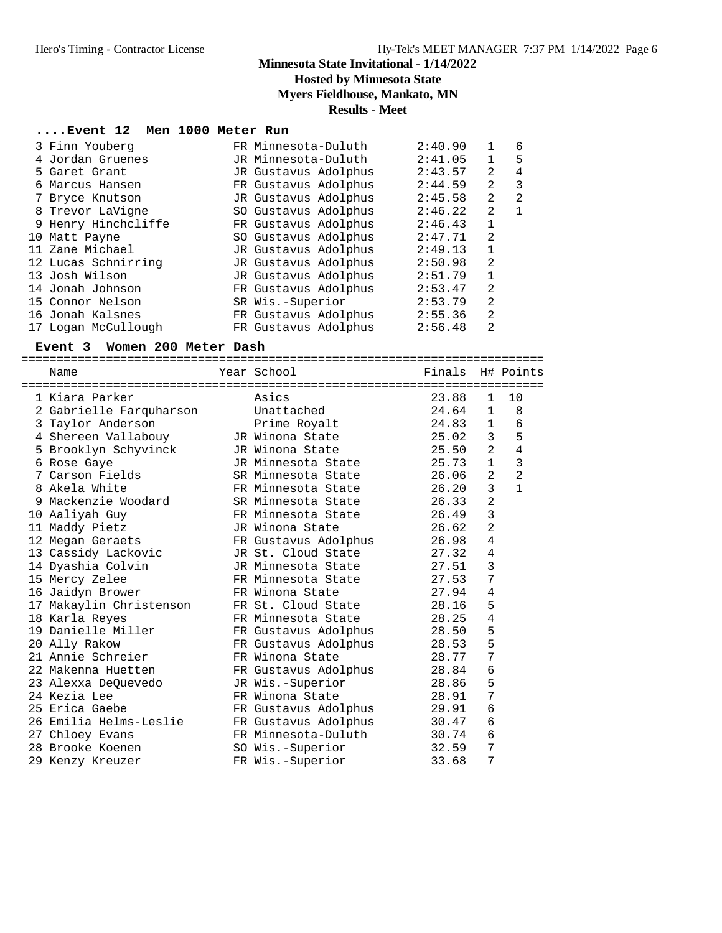## **Hosted by Minnesota State**

**Myers Fieldhouse, Mankato, MN**

**Results - Meet**

## **....Event 12 Men 1000 Meter Run**

|  | 3 Finn Youberg      | FR Minnesota-Duluth  | 2:40.90 | 1              | 6            |
|--|---------------------|----------------------|---------|----------------|--------------|
|  | 4 Jordan Gruenes    | JR Minnesota-Duluth  | 2:41.05 | $\mathbf{1}$   | 5            |
|  | 5 Garet Grant       | JR Gustavus Adolphus | 2:43.57 | 2              | 4            |
|  | 6 Marcus Hansen     | FR Gustavus Adolphus | 2:44.59 | 2              | 3            |
|  | 7 Bryce Knutson     | JR Gustavus Adolphus | 2:45.58 | 2              | 2            |
|  | 8 Trevor LaVigne    | SO Gustavus Adolphus | 2:46.22 | 2              | $\mathbf{1}$ |
|  | 9 Henry Hinchcliffe | FR Gustavus Adolphus | 2:46.43 | 1              |              |
|  | 10 Matt Payne       | SO Gustavus Adolphus | 2:47.71 | 2              |              |
|  | 11 Zane Michael     | JR Gustavus Adolphus | 2:49.13 | $\mathbf 1$    |              |
|  | 12 Lucas Schnirring | JR Gustavus Adolphus | 2:50.98 | 2              |              |
|  | 13 Josh Wilson      | JR Gustavus Adolphus | 2:51.79 | $\mathbf{1}$   |              |
|  | 14 Jonah Johnson    | FR Gustavus Adolphus | 2:53.47 | $\overline{2}$ |              |
|  | 15 Connor Nelson    | SR Wis.-Superior     | 2:53.79 | $\overline{2}$ |              |
|  | 16 Jonah Kalsnes    | FR Gustavus Adolphus | 2:55.36 | $\overline{2}$ |              |
|  | 17 Logan McCullough | FR Gustavus Adolphus | 2:56.48 | 2              |              |
|  |                     |                      |         |                |              |

#### **Event 3 Women 200 Meter Dash**

========================================================================== Name Year School Finals H# Points

| 1 Kiara Parker          | Asics                      | 23.88 | $\mathbf{1}$   | 10             |
|-------------------------|----------------------------|-------|----------------|----------------|
| 2 Gabrielle Farquharson | Unattached                 | 24.64 | 1              | 8              |
| 3 Taylor Anderson       | Prime Royalt               | 24.83 | $\mathbf{1}$   | 6              |
| 4 Shereen Vallabouy     | JR Winona State            | 25.02 | 3 <sup>7</sup> | 5              |
| 5 Brooklyn Schyvinck    | JR Winona State            | 25.50 | 2              | $\overline{4}$ |
| 6 Rose Gaye             | JR Minnesota State 25.73   |       | $\mathbf{1}$   | 3              |
| 7 Carson Fields         | SR Minnesota State         | 26.06 | 2              | $\overline{2}$ |
| 8 Akela White           | FR Minnesota State         | 26.20 | $\mathbf{3}$   | $\mathbf{1}$   |
| 9 Mackenzie Woodard     | SR Minnesota State         | 26.33 | $\overline{2}$ |                |
| 10 Aaliyah Guy          | FR Minnesota State         | 26.49 | $\overline{3}$ |                |
| 11 Maddy Pietz          | JR Winona State            | 26.62 | $\overline{2}$ |                |
| 12 Megan Geraets        | FR Gustavus Adolphus 26.98 |       | $\overline{4}$ |                |
| 13 Cassidy Lackovic     | JR St. Cloud State 27.32   |       | $\overline{4}$ |                |
| 14 Dyashia Colvin       | JR Minnesota State 27.51   |       | 3              |                |
| 15 Mercy Zelee          | FR Minnesota State 27.53   |       | 7              |                |
| 16 Jaidyn Brower        | FR Winona State            | 27.94 | $\sqrt{4}$     |                |
| 17 Makaylin Christenson | FR St. Cloud State 28.16   |       | 5              |                |
| 18 Karla Reyes          | FR Minnesota State 28.25   |       | 4              |                |
| 19 Danielle Miller      | FR Gustavus Adolphus 28.50 |       | 5              |                |
| 20 Ally Rakow           | FR Gustavus Adolphus 28.53 |       | 5              |                |
| 21 Annie Schreier       | FR Winona State            | 28.77 | 7              |                |
| 22 Makenna Huetten      | FR Gustavus Adolphus 28.84 |       | 6              |                |
| 23 Alexxa DeQuevedo     | JR Wis.-Superior 28.86     |       | 5              |                |
| 24 Kezia Lee            | FR Winona State            | 28.91 | 7              |                |
| 25 Erica Gaebe          | FR Gustavus Adolphus       | 29.91 | 6              |                |
| 26 Emilia Helms-Leslie  | FR Gustavus Adolphus 30.47 |       | 6              |                |
| 27 Chloey Evans         | FR Minnesota-Duluth 30.74  |       | 6              |                |
| 28 Brooke Koenen        | SO Wis.-Superior 32.59     |       | 7              |                |
| 29 Kenzy Kreuzer        | FR Wis.-Superior           | 33.68 | 7              |                |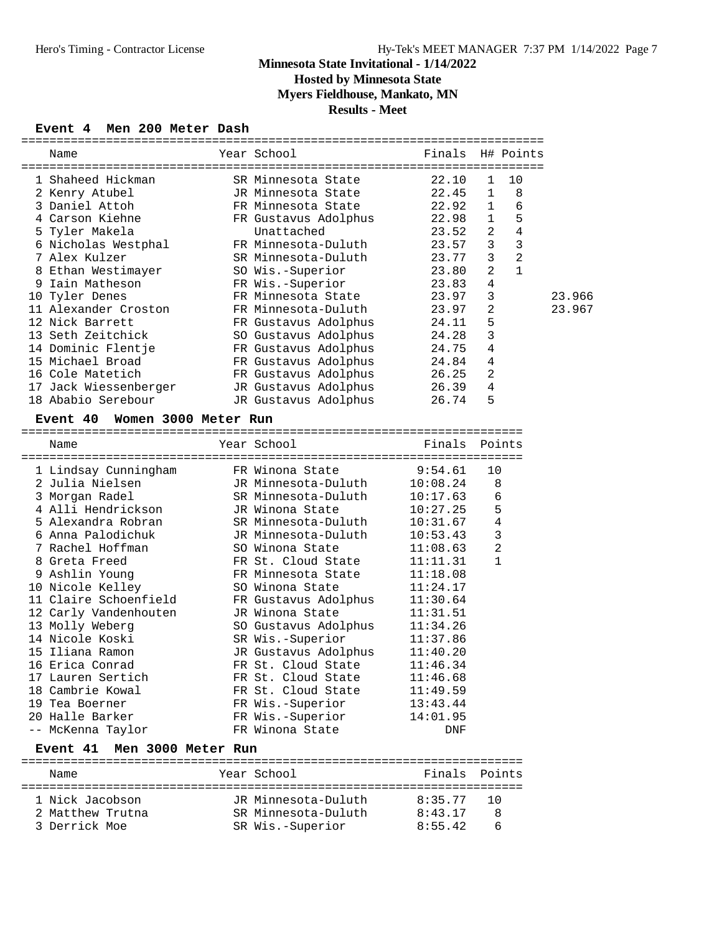**Hosted by Minnesota State**

**Myers Fieldhouse, Mankato, MN**

## **Results - Meet**

## **Event 4 Men 200 Meter Dash**

| Name                                                                                                                                                                                                                                                                                                          | Year School          | Finals        |                | H# Points      |        |
|---------------------------------------------------------------------------------------------------------------------------------------------------------------------------------------------------------------------------------------------------------------------------------------------------------------|----------------------|---------------|----------------|----------------|--------|
|                                                                                                                                                                                                                                                                                                               |                      |               |                |                |        |
| 1 Shaheed Hickman                                                                                                                                                                                                                                                                                             | SR Minnesota State   | 22.10         | $\mathbf{1}$   | 10             |        |
| 2 Kenry Atubel                                                                                                                                                                                                                                                                                                | JR Minnesota State   | 22.45         | $\mathbf{1}$   | 8              |        |
| 3 Daniel Attoh                                                                                                                                                                                                                                                                                                | FR Minnesota State   | 22.92         | $\mathbf 1$    | 6              |        |
| 4 Carson Kiehne                                                                                                                                                                                                                                                                                               | FR Gustavus Adolphus | 22.98         | 1              | 5              |        |
| 5 Tyler Makela                                                                                                                                                                                                                                                                                                | Unattached           | 23.52         | 2              | $\overline{4}$ |        |
| 6 Nicholas Westphal                                                                                                                                                                                                                                                                                           | FR Minnesota-Duluth  | 23.57         | 3              | 3              |        |
| 7 Alex Kulzer                                                                                                                                                                                                                                                                                                 | SR Minnesota-Duluth  | 23.77         | 3              | $\overline{2}$ |        |
| 8 Ethan Westimayer                                                                                                                                                                                                                                                                                            | SO Wis.-Superior     | 23.80         | 2              | $\mathbf{1}$   |        |
| 9 Iain Matheson                                                                                                                                                                                                                                                                                               | FR Wis.-Superior     | 23.83         | 4              |                |        |
| 10 Tyler Denes                                                                                                                                                                                                                                                                                                | FR Minnesota State   | 23.97         | 3              |                | 23.966 |
| 11 Alexander Croston                                                                                                                                                                                                                                                                                          | FR Minnesota-Duluth  | 23.97         | 2              |                | 23.967 |
| 12 Nick Barrett                                                                                                                                                                                                                                                                                               | FR Gustavus Adolphus | 24.11         | 5              |                |        |
| 13 Seth Zeitchick                                                                                                                                                                                                                                                                                             | SO Gustavus Adolphus | 24.28         | 3              |                |        |
| 14 Dominic Flentje                                                                                                                                                                                                                                                                                            | FR Gustavus Adolphus | 24.75         | 4              |                |        |
| 15 Michael Broad                                                                                                                                                                                                                                                                                              | FR Gustavus Adolphus | 24.84         | 4              |                |        |
| 16 Cole Matetich                                                                                                                                                                                                                                                                                              | FR Gustavus Adolphus | 26.25         | $\overline{2}$ |                |        |
| 17 Jack Wiessenberger                                                                                                                                                                                                                                                                                         | JR Gustavus Adolphus | 26.39         | 4              |                |        |
| 18 Ababio Serebour                                                                                                                                                                                                                                                                                            | JR Gustavus Adolphus | 26.74         | 5              |                |        |
| Women 3000 Meter Run<br><b>Event 40</b>                                                                                                                                                                                                                                                                       |                      |               |                |                |        |
|                                                                                                                                                                                                                                                                                                               |                      |               |                |                |        |
| Name                                                                                                                                                                                                                                                                                                          | Year School          | Finals Points |                |                |        |
|                                                                                                                                                                                                                                                                                                               |                      |               |                |                |        |
| 1 Lindsay Cunningham                                                                                                                                                                                                                                                                                          | FR Winona State      | 9:54.61       | 10             |                |        |
| 2 Julia Nielsen                                                                                                                                                                                                                                                                                               | JR Minnesota-Duluth  | 10:08.24      |                | 8              |        |
| 3 Morgan Radel                                                                                                                                                                                                                                                                                                | SR Minnesota-Duluth  | 10:17.63      |                | 6              |        |
| 4 Alli Hendrickson                                                                                                                                                                                                                                                                                            | JR Winona State      | 10:27.25      |                | 5              |        |
| 5 Alexandra Robran                                                                                                                                                                                                                                                                                            | SR Minnesota-Duluth  | 10:31.67      |                | 4              |        |
| 6 Anna Palodichuk                                                                                                                                                                                                                                                                                             | JR Minnesota-Duluth  | 10:53.43      |                | 3              |        |
| 7 Rachel Hoffman                                                                                                                                                                                                                                                                                              | SO Winona State      | 11:08.63      |                | 2              |        |
| 8 Greta Freed                                                                                                                                                                                                                                                                                                 | FR St. Cloud State   | 11:11.31      |                | 1              |        |
| 9 Ashlin Young                                                                                                                                                                                                                                                                                                | FR Minnesota State   | 11:18.08      |                |                |        |
| 10 Nicole Kelley                                                                                                                                                                                                                                                                                              | SO Winona State      | 11:24.17      |                |                |        |
| 11 Claire Schoenfield                                                                                                                                                                                                                                                                                         | FR Gustavus Adolphus | 11:30.64      |                |                |        |
| 12 Carly Vandenhouten                                                                                                                                                                                                                                                                                         | JR Winona State      | 11:31.51      |                |                |        |
| 13 Molly Weberg                                                                                                                                                                                                                                                                                               | SO Gustavus Adolphus | 11:34.26      |                |                |        |
| 14 Nicole Koski                                                                                                                                                                                                                                                                                               | SR Wis.-Superior     | 11:37.86      |                |                |        |
| 15 Iliana Ramon                                                                                                                                                                                                                                                                                               | JR Gustavus Adolphus | 11:40.20      |                |                |        |
| 16 Erica Conrad                                                                                                                                                                                                                                                                                               | FR St. Cloud State   | 11:46.34      |                |                |        |
| 17 Lauren Sertich                                                                                                                                                                                                                                                                                             | FR St. Cloud State   | 11:46.68      |                |                |        |
| 18 Cambrie Kowal                                                                                                                                                                                                                                                                                              | FR St. Cloud State   | 11:49.59      |                |                |        |
| 19 Tea Boerner                                                                                                                                                                                                                                                                                                | FR Wis.-Superior     | 13:43.44      |                |                |        |
| 20 Halle Barker                                                                                                                                                                                                                                                                                               | FR Wis.-Superior     | 14:01.95      |                |                |        |
| -- McKenna Taylor                                                                                                                                                                                                                                                                                             | FR Winona State      | DNF           |                |                |        |
| $P_{\text{t}}$ and $P_{\text{t}}$ and $P_{\text{t}}$ and $P_{\text{t}}$ and $P_{\text{t}}$ and $P_{\text{t}}$ and $P_{\text{t}}$ and $P_{\text{t}}$ and $P_{\text{t}}$ and $P_{\text{t}}$ and $P_{\text{t}}$ and $P_{\text{t}}$ and $P_{\text{t}}$ and $P_{\text{t}}$ and $P_{\text{t}}$ and $P_{\text{t}}$ a |                      |               |                |                |        |

#### **Event 41 Men 3000 Meter Run**

| Name                              | Year School                                | Finals Points      |      |
|-----------------------------------|--------------------------------------------|--------------------|------|
| 1 Nick Jacobson                   | JR Minnesota-Duluth<br>SR Minnesota-Duluth | 8:35.77<br>8:43.17 | 70 O |
| 2 Matthew Trutna<br>3 Derrick Moe | SR Wis.-Superior                           | 8:55.42            |      |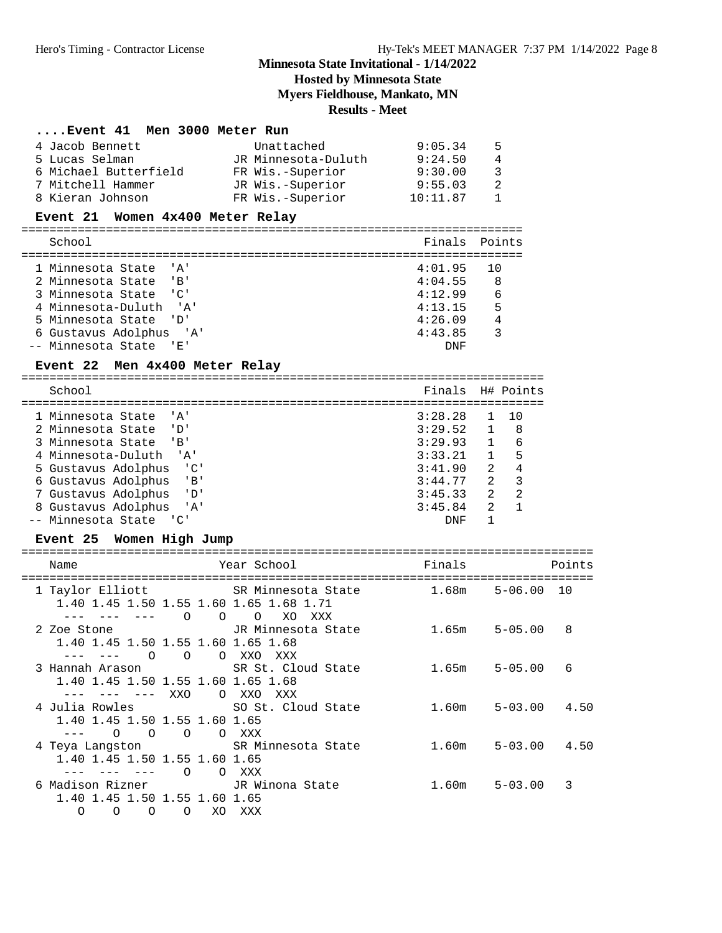## **Hosted by Minnesota State**

**Myers Fieldhouse, Mankato, MN**

## **Results - Meet**

## **....Event 41 Men 3000 Meter Run**

| 4 Jacob Bennett       | Unattached          | 9:05.34  | 5.           |
|-----------------------|---------------------|----------|--------------|
| 5 Lucas Selman        | JR Minnesota-Duluth | 9:24.50  | 4            |
| 6 Michael Butterfield | FR Wis.-Superior    | 9:30.00  | 3            |
| 7 Mitchell Hammer     | JR Wis.-Superior    | 9:55.03  | 2            |
| 8 Kieran Johnson      | FR Wis.-Superior    | 10:11.87 | $\mathbf{1}$ |

## **Event 21 Women 4x400 Meter Relay**

| School                            | Finals Points |                |
|-----------------------------------|---------------|----------------|
| 1 Minnesota State 'A'             | 4:01.95       |                |
| 2 Minnesota State<br>$\mathbf{B}$ | 4:04.55       | - 8            |
| 3 Minnesota State 'C'             | 4:12.99       | - 6            |
| 4 Minnesota-Duluth 'A'            | 4:13.15       | $5^{\circ}$    |
| 5 Minnesota State 'D'             | 4:26.09       | $\overline{4}$ |
| 6 Gustavus Adolphus 'A'           | 4:43.85       |                |
| -- Minnesota State 'E'            | DNF           |                |
|                                   |               |                |

## Event 22 Men 4x400 Meter Relay

| School                                                    | Finals H# Points |                |    |
|-----------------------------------------------------------|------------------|----------------|----|
|                                                           |                  |                |    |
| 1 Minnesota State<br>י בי                                 | 3:28.28          |                | 10 |
| 2 Minnesota State<br>י רד י                               | 3:29.52          |                | 8  |
| 3 Minnesota State<br>$\overline{B}$                       | 3:29.93          |                | 6  |
| 4 Minnesota-Duluth<br>$^{\prime}$ $^{\prime}$ $^{\prime}$ | 3:33.21          | 1              | 5  |
| <u>'C'</u><br>5 Gustavus Adolphus                         | 3:41.90          | 2              | 4  |
| 6 Gustavus Adolphus<br>' R '                              | 3:44.77          | $\mathcal{L}$  | 3  |
| 7 Gustavus Adolphus<br>י רז י                             | 3:45.33          | 2              | 2  |
| 8 Gustavus Adolphus<br>י ב <i>י</i> י                     | 3:45.84          | $\mathfrak{D}$ |    |
| Minnesota State<br>$\overline{\phantom{a}}$               | DNF              |                |    |

## **Event 25 Women High Jump**

| Name                                                                                                                       | Year School District the Second State of the Second State of the Second State of the Second State o | Finals            |                  | Points |
|----------------------------------------------------------------------------------------------------------------------------|-----------------------------------------------------------------------------------------------------|-------------------|------------------|--------|
| 1 Taylor Elliott<br>1.40 1.45 1.50 1.55 1.60 1.65 1.68 1.71<br>$\circ$ 0                                                   | SR Minnesota State<br>$\circ$<br>XO<br>XXX                                                          | 1.68m             | 5-06.00          | 10     |
| 2 Zoe Stone                   JR Minnesota State<br>1.40 1.45 1.50 1.55 1.60 1.65 1.68<br>$\overline{O}$<br>$\overline{O}$ | O XXO<br>XXX                                                                                        | $1.65m$ $5-05.00$ |                  | 8      |
| 3 Hannah Arason                       SR St. Cloud State<br>1.40 1.45 1.50 1.55 1.60 1.65 1.68<br>--- --- XXO              | O XXO<br>xxx                                                                                        | $1.65m$ $5-05.00$ |                  | 6      |
| 4 Julia Rowles<br>1.40 1.45 1.50 1.55 1.60 1.65<br>$\overline{O}$<br>$\overline{O}$<br>$\overline{O}$                      | SO St. Cloud State<br>O XXX                                                                         | 1.60m             | $5 - 03.00$ 4.50 |        |
| 4 Teya Langston SR Minnesota State<br>1.40 1.45 1.50 1.55 1.60 1.65<br>$\Omega$                                            | O XXX                                                                                               | 1.60m             | $5 - 03.00$ 4.50 |        |
| 6 Madison Rizner 6 JR Winona State<br>1.40 1.45 1.50 1.55 1.60 1.65<br>$\Omega$<br>$\Omega$<br>XO.<br>O<br>∩               | XXX                                                                                                 | $1.60m$ $5-03.00$ |                  | 3      |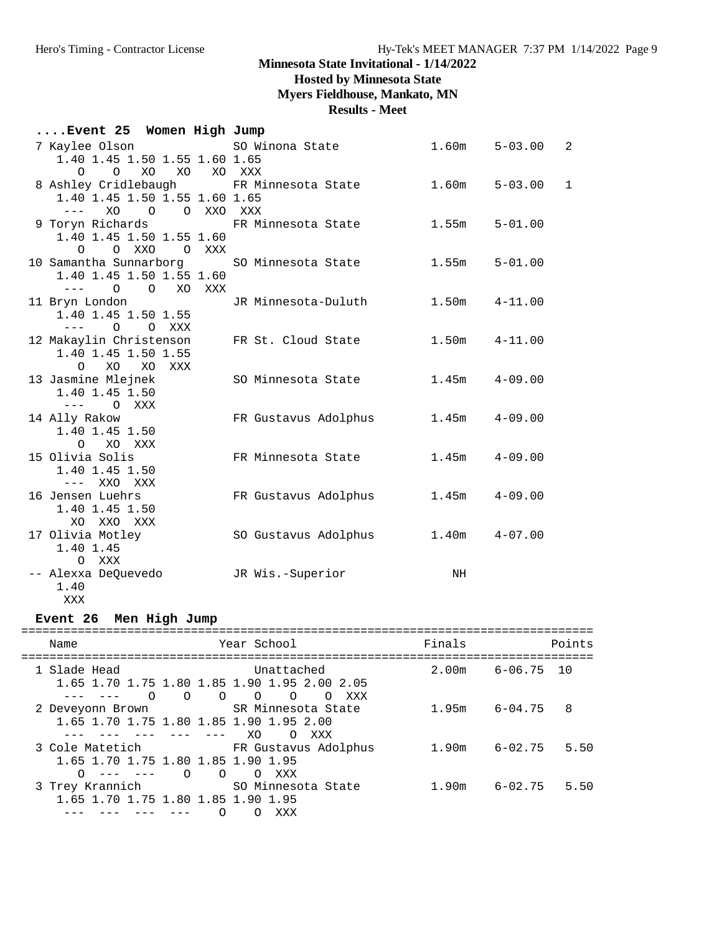## **Hosted by Minnesota State**

**Myers Fieldhouse, Mankato, MN**

**Results - Meet**

| Event 25 Women High Jump |  |  |  |  |
|--------------------------|--|--|--|--|
|--------------------------|--|--|--|--|

| 7 Kaylee Olson                           SO Winona State                                                                                                                                                                                                                                                                                                                                                                 |                      | 1.60m             | $5 - 03.00$       | $\overline{2}$ |
|--------------------------------------------------------------------------------------------------------------------------------------------------------------------------------------------------------------------------------------------------------------------------------------------------------------------------------------------------------------------------------------------------------------------------|----------------------|-------------------|-------------------|----------------|
| 1.40 1.45 1.50 1.55 1.60 1.65                                                                                                                                                                                                                                                                                                                                                                                            |                      |                   |                   |                |
| XO XO<br>$\Omega$<br>$\Omega$                                                                                                                                                                                                                                                                                                                                                                                            | XO XXX               |                   |                   |                |
| 8 Ashley Cridlebaugh FR Minnesota State                                                                                                                                                                                                                                                                                                                                                                                  |                      |                   | $1.60m$ $5-03.00$ | $\mathbf 1$    |
| 1.40 1.45 1.50 1.55 1.60 1.65                                                                                                                                                                                                                                                                                                                                                                                            |                      |                   |                   |                |
| XO O O XXO XXX<br>$\frac{1}{2} \frac{1}{2} \frac{1}{2} \frac{1}{2} \frac{1}{2} \frac{1}{2} \frac{1}{2} \frac{1}{2} \frac{1}{2} \frac{1}{2} \frac{1}{2} \frac{1}{2} \frac{1}{2} \frac{1}{2} \frac{1}{2} \frac{1}{2} \frac{1}{2} \frac{1}{2} \frac{1}{2} \frac{1}{2} \frac{1}{2} \frac{1}{2} \frac{1}{2} \frac{1}{2} \frac{1}{2} \frac{1}{2} \frac{1}{2} \frac{1}{2} \frac{1}{2} \frac{1}{2} \frac{1}{2} \frac{$           |                      |                   |                   |                |
| 9 Toryn Richards                                                                                                                                                                                                                                                                                                                                                                                                         | FR Minnesota State   | 1.55m             | $5 - 01.00$       |                |
| 1.40 1.45 1.50 1.55 1.60                                                                                                                                                                                                                                                                                                                                                                                                 |                      |                   |                   |                |
| O O XXO O XXX                                                                                                                                                                                                                                                                                                                                                                                                            |                      |                   |                   |                |
| 10 Samantha Sunnarborg SO Minnesota State                                                                                                                                                                                                                                                                                                                                                                                |                      | 1.55m             | $5 - 01.00$       |                |
| 1.40 1.45 1.50 1.55 1.60                                                                                                                                                                                                                                                                                                                                                                                                 |                      |                   |                   |                |
| $\frac{1}{2} \frac{1}{2} \frac{1}{2} \frac{1}{2} \frac{1}{2} \frac{1}{2} \frac{1}{2} \frac{1}{2} \frac{1}{2} \frac{1}{2} \frac{1}{2} \frac{1}{2} \frac{1}{2} \frac{1}{2} \frac{1}{2} \frac{1}{2} \frac{1}{2} \frac{1}{2} \frac{1}{2} \frac{1}{2} \frac{1}{2} \frac{1}{2} \frac{1}{2} \frac{1}{2} \frac{1}{2} \frac{1}{2} \frac{1}{2} \frac{1}{2} \frac{1}{2} \frac{1}{2} \frac{1}{2} \frac{$<br>$0\qquad 0$<br>XO<br>XXX |                      |                   |                   |                |
| 11 Bryn London                                                                                                                                                                                                                                                                                                                                                                                                           | JR Minnesota-Duluth  | 1.50m             | $4 - 11.00$       |                |
| 1.40 1.45 1.50 1.55                                                                                                                                                                                                                                                                                                                                                                                                      |                      |                   |                   |                |
| $---$ 0 0 XXX                                                                                                                                                                                                                                                                                                                                                                                                            |                      |                   |                   |                |
| 12 Makaylin Christenson                                                                                                                                                                                                                                                                                                                                                                                                  | FR St. Cloud State   | $1.50m$ $4-11.00$ |                   |                |
| 1.40 1.45 1.50 1.55                                                                                                                                                                                                                                                                                                                                                                                                      |                      |                   |                   |                |
| $\Omega$<br>XO<br>XO<br>XXX                                                                                                                                                                                                                                                                                                                                                                                              |                      |                   |                   |                |
| 13 Jasmine Mlejnek                                                                                                                                                                                                                                                                                                                                                                                                       | SO Minnesota State   | $1.45m$ $4-09.00$ |                   |                |
| 1.40 1.45 1.50                                                                                                                                                                                                                                                                                                                                                                                                           |                      |                   |                   |                |
| $---$ 0 XXX                                                                                                                                                                                                                                                                                                                                                                                                              |                      |                   |                   |                |
| 14 Ally Rakow                                                                                                                                                                                                                                                                                                                                                                                                            | FR Gustavus Adolphus | 1.45m             | $4 - 09.00$       |                |
| 1.40 1.45 1.50                                                                                                                                                                                                                                                                                                                                                                                                           |                      |                   |                   |                |
| XO XXX<br>$\Omega$                                                                                                                                                                                                                                                                                                                                                                                                       |                      |                   |                   |                |
| 15 Olivia Solis                                                                                                                                                                                                                                                                                                                                                                                                          | FR Minnesota State   | 1.45m             | 4-09.00           |                |
| 1.40 1.45 1.50                                                                                                                                                                                                                                                                                                                                                                                                           |                      |                   |                   |                |
| --- XXO XXX                                                                                                                                                                                                                                                                                                                                                                                                              |                      |                   |                   |                |
| 16 Jensen Luehrs                                                                                                                                                                                                                                                                                                                                                                                                         | FR Gustavus Adolphus | 1.45m             | 4-09.00           |                |
| 1.40 1.45 1.50                                                                                                                                                                                                                                                                                                                                                                                                           |                      |                   |                   |                |
| XO XXO XXX                                                                                                                                                                                                                                                                                                                                                                                                               |                      |                   |                   |                |
| 17 Olivia Motley                                                                                                                                                                                                                                                                                                                                                                                                         | SO Gustavus Adolphus | $1.40m$ $4-07.00$ |                   |                |
| 1.40 1.45                                                                                                                                                                                                                                                                                                                                                                                                                |                      |                   |                   |                |
| O XXX                                                                                                                                                                                                                                                                                                                                                                                                                    |                      |                   |                   |                |
| -- Alexxa DeQuevedo                                                                                                                                                                                                                                                                                                                                                                                                      | JR Wis.-Superior     | NH                |                   |                |
| 1.40                                                                                                                                                                                                                                                                                                                                                                                                                     |                      |                   |                   |                |

XXX

**Event 26 Men High Jump**

| Name         |                                                                                               | Year School                                                                                           | Finals            | Points              |
|--------------|-----------------------------------------------------------------------------------------------|-------------------------------------------------------------------------------------------------------|-------------------|---------------------|
| 1 Slade Head | $\circ$ $\circ$<br>$\cap$                                                                     | Unattached<br>1.65 1.70 1.75 1.80 1.85 1.90 1.95 2.00 2.05<br>$\Omega$<br>$\Omega$<br>XXX<br>$\Omega$ | 2.00 <sub>m</sub> | $6 - 06.75$ 10      |
|              | 2 Deveyonn Brown<br>1.65 1.70 1.75 1.80 1.85 1.90 1.95 2.00                                   | SR Minnesota State<br>XO.<br>$\Omega$<br>XXX                                                          | 1.95m             | $6 - 04.75$<br>8    |
|              | 3 Cole Matetich<br>1.65 1.70 1.75 1.80 1.85 1.90 1.95<br>$\cap$<br>$\circ$<br>$0 - - - - - -$ | FR Gustavus Adolphus<br>XXX<br>$\Omega$                                                               | 1.90m             | 5.50<br>$6 - 02.75$ |
|              | 3 Trey Krannich<br>1.65 1.70 1.75 1.80 1.85 1.90 1.95<br>O                                    | SO Minnesota State<br>XXX                                                                             | 1.90m             | $6 - 02.75$<br>5.50 |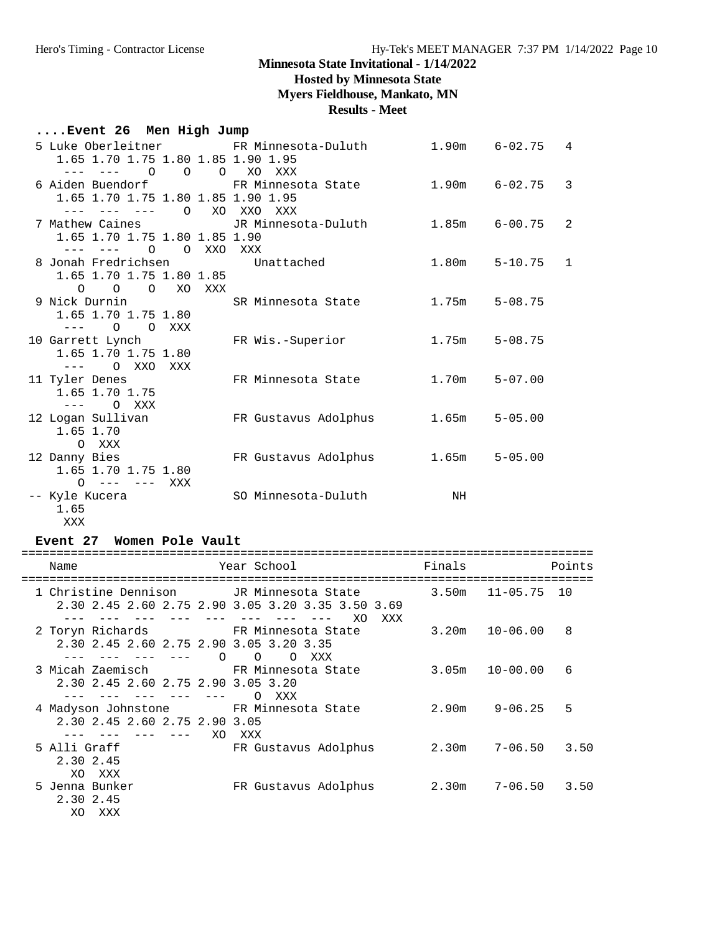## **Hosted by Minnesota State**

**Myers Fieldhouse, Mankato, MN**

**Results - Meet**

## **....Event 26 Men High Jump**

| 5 Luke Oberleitner                 FR Minnesota-Duluth<br>1.65 1.70 1.75 1.80 1.85 1.90 1.95 |                                                                                            |                   | $1.90m$ $6-02.75$ | 4              |
|----------------------------------------------------------------------------------------------|--------------------------------------------------------------------------------------------|-------------------|-------------------|----------------|
| $0\qquad 0\qquad 0$<br>--- ---- -                                                            | XO XXX                                                                                     |                   |                   |                |
|                                                                                              |                                                                                            |                   |                   | 3              |
| 1.65 1.70 1.75 1.80 1.85 1.90 1.95                                                           |                                                                                            |                   |                   |                |
| $\circ$<br>$- - - -$<br>$\sim$ $  -$                                                         | XO XXO XXX                                                                                 |                   |                   |                |
|                                                                                              | 7 Mathew Caines                       JR Minnesota-Duluth               1.85m      6-00.75 |                   |                   | $\overline{2}$ |
| 1.65 1.70 1.75 1.80 1.85 1.90                                                                |                                                                                            |                   |                   |                |
| $--- - - - - 0$<br>O XXO XXX                                                                 |                                                                                            |                   |                   |                |
| 8 Jonah Fredrichsen Mattached                                                                |                                                                                            |                   | $1.80m$ $5-10.75$ | $\mathbf{1}$   |
| 1.65 1.70 1.75 1.80 1.85                                                                     |                                                                                            |                   |                   |                |
| O O O XO XXX                                                                                 |                                                                                            |                   |                   |                |
| 9 Nick Durnin                   SR Minnesota State                                           |                                                                                            | $1.75m$ $5-08.75$ |                   |                |
| 1.65 1.70 1.75 1.80                                                                          |                                                                                            |                   |                   |                |
| $--- 0$<br>O XXX                                                                             |                                                                                            |                   |                   |                |
| 10 Garrett Lynch                                                                             | FR Wis.-Superior                                                                           | $1.75m$ $5-08.75$ |                   |                |
| 1.65 1.70 1.75 1.80                                                                          |                                                                                            |                   |                   |                |
| --- 0 XXO XXX                                                                                |                                                                                            |                   |                   |                |
| 11 Tyler Denes                                                                               | FR Minnesota State                                                                         | 1.70m             | $5 - 07.00$       |                |
| 1.65 1.70 1.75                                                                               |                                                                                            |                   |                   |                |
| $---$ 0 XXX                                                                                  |                                                                                            |                   |                   |                |
| 12 Loqan Sullivan                                                                            | FR Gustavus Adolphus                                                                       | $1.65m$ $5-05.00$ |                   |                |
| 1.65 1.70                                                                                    |                                                                                            |                   |                   |                |
| O XXX                                                                                        |                                                                                            |                   |                   |                |
| 12 Danny Bies                                                                                | FR Gustavus Adolphus                                                                       | $1.65m$ $5-05.00$ |                   |                |
| 1.65 1.70 1.75 1.80                                                                          |                                                                                            |                   |                   |                |
| $0 - - - - - -$<br>XXX                                                                       |                                                                                            |                   |                   |                |
| -- Kyle Kucera                                                                               | SO Minnesota-Duluth                                                                        | NH                |                   |                |
| 1.65                                                                                         |                                                                                            |                   |                   |                |

XXX

**Event 27 Women Pole Vault**

| Name                                                                                         | Year School                 | Finals |             | Points |
|----------------------------------------------------------------------------------------------|-----------------------------|--------|-------------|--------|
| 1 Christine Dennison JR Minnesota State<br>2.30 2.45 2.60 2.75 2.90 3.05 3.20 3.35 3.50 3.69 | XXX<br>XΟ                   | 3.50m  | 11-05.75    | 10     |
| 2 Toryn Richards 6 FR Minnesota State<br>2.30 2.45 2.60 2.75 2.90 3.05 3.20 3.35<br>$\Omega$ | $\Omega$<br>$\Omega$<br>XXX | 3.20m  | 10-06.00    | 8      |
| 3 Micah Zaemisch Mannesota State<br>2.30 2.45 2.60 2.75 2.90 3.05 3.20                       | XXX<br>$\Omega$             | 3.05m  | 10-00.00    | 6      |
| 4 Madyson Johnstone<br>2.30 2.45 2.60 2.75 2.90 3.05<br>XO.                                  | FR Minnesota State<br>XXX   | 2.90m  | $9 - 06.25$ | 5      |
| 5 Alli Graff<br>2.30 2.45<br>XXX<br>XO.                                                      | FR Gustavus Adolphus        | 2.30m  | $7 - 06.50$ | 3.50   |
| 5 Jenna Bunker<br>2.30 2.45<br>XO.<br>XXX                                                    | FR Gustavus Adolphus        | 2.30m  | $7 - 06.50$ | 3.50   |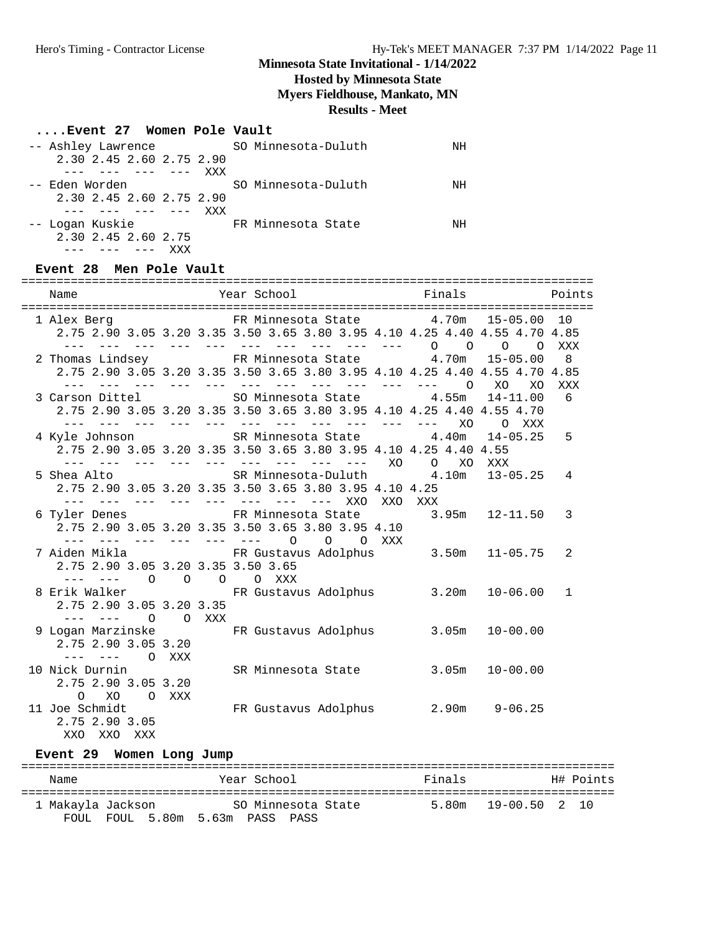## **Hosted by Minnesota State**

**Myers Fieldhouse, Mankato, MN**

#### **Results - Meet**

#### **....Event 27 Women Pole Vault**

| -- Ashley Lawrence       | SO Minnesota-Duluth | ΝH |
|--------------------------|---------------------|----|
| 2.30 2.45 2.60 2.75 2.90 |                     |    |
| XXX<br>--- --- ---       |                     |    |
| -- Eden Worden           | SO Minnesota-Duluth | NH |
| 2.30 2.45 2.60 2.75 2.90 |                     |    |
| <b>XXX</b><br>--- ---    |                     |    |
| -- Logan Kuskie          | FR Minnesota State  | NH |
| 2.30 2.45 2.60 2.75      |                     |    |
|                          |                     |    |

#### **Event 28 Men Pole Vault**

| Name                               |         |                                                                            | Points |
|------------------------------------|---------|----------------------------------------------------------------------------|--------|
|                                    |         |                                                                            |        |
|                                    |         | 1 Alex Berg 61 CFR Minnesota State 4.70m 15-05.00 10                       |        |
|                                    |         | 2.75 2.90 3.05 3.20 3.35 3.50 3.65 3.80 3.95 4.10 4.25 4.40 4.55 4.70 4.85 |        |
|                                    |         | --- --- --- --- --- --- --- --- 0 0<br>$\Omega$<br>$\circ$                 | XXX    |
|                                    |         | 2 Thomas Lindsey FR Minnesota State 4.70m<br>$15 - 05.00$                  | 8      |
|                                    |         | 2.75 2.90 3.05 3.20 3.35 3.50 3.65 3.80 3.95 4.10 4.25 4.40 4.55 4.70 4.85 |        |
|                                    |         | XO<br>XO                                                                   | XXX    |
|                                    |         | 3 Carson Dittel 50 SO Minnesota State 4.55m<br>$14 - 11.00$                | 6      |
|                                    |         | 2.75 2.90 3.05 3.20 3.35 3.50 3.65 3.80 3.95 4.10 4.25 4.40 4.55 4.70      |        |
|                                    |         |                                                                            |        |
|                                    |         | 4 Kyle Johnson SR Minnesota State 4.40m 14-05.25                           | 5      |
|                                    |         | 2.75 2.90 3.05 3.20 3.35 3.50 3.65 3.80 3.95 4.10 4.25 4.40 4.55           |        |
|                                    |         | O XO XXX                                                                   |        |
|                                    |         | 5 Shea Alto SR Minnesota-Duluth 4.10m 13-05.25                             | 4      |
|                                    |         | 2.75 2.90 3.05 3.20 3.35 3.50 3.65 3.80 3.95 4.10 4.25                     |        |
|                                    |         | XXX                                                                        |        |
|                                    |         | 6 Tyler Denes FR Minnesota State 3.95m 12-11.50                            | 3      |
|                                    |         | 2.75 2.90 3.05 3.20 3.35 3.50 3.65 3.80 3.95 4.10                          |        |
|                                    |         | --- --- --- --- --- --- 0 0 0 XXX                                          |        |
|                                    |         | 7 Aiden Mikla (FR Gustavus Adolphus 3.50m 11-05.75                         | 2      |
| 2.75 2.90 3.05 3.20 3.35 3.50 3.65 |         |                                                                            |        |
| --- --- 0 0 0 0 XXX                |         |                                                                            |        |
|                                    |         | 8 Erik Walker (Baseman PR Gustavus Adolphus (B.20m 10-06.00)               | 1      |
| 2.75 2.90 3.05 3.20 3.35           |         |                                                                            |        |
|                                    | O O XXX |                                                                            |        |
|                                    |         | 9 Logan Marzinske KR Gustavus Adolphus 3.05m 10-00.00                      |        |
| 2.75 2.90 3.05 3.20                |         |                                                                            |        |
| $--- - - - -$ 0 XXX                |         |                                                                            |        |
| 10 Nick Durnin                     |         | SR Minnesota State<br>$3.05m$ $10-00.00$                                   |        |
| 2.75 2.90 3.05 3.20                |         |                                                                            |        |
| O XO<br>O XXX                      |         |                                                                            |        |
| 11 Joe Schmidt                     |         | FR Gustavus Adolphus 2.90m 9-06.25                                         |        |
| 2.75 2.90 3.05                     |         |                                                                            |        |
| XXO XXO XXX                        |         |                                                                            |        |

**Event 29 Women Long Jump** ==================================================================================== Name The Year School The Finals H# Points ==================================================================================== 1 Makayla Jackson SO Minnesota State 5.80m 19-00.50 2 10 FOUL FOUL 5.80m 5.63m PASS PASS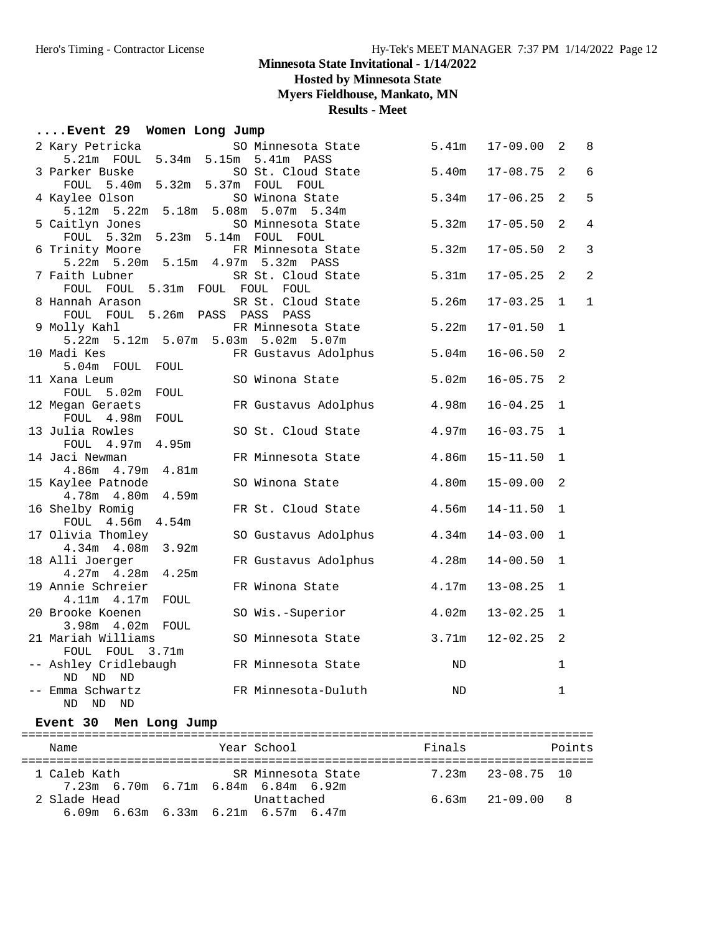**Hosted by Minnesota State**

**Myers Fieldhouse, Mankato, MN**

**Results - Meet**

## **....Event 29 Women Long Jump**

| 2 Kary Petricka                                    | SO Minnesota State   | 5.41m     | $17 - 09.00$ | 2            | 8              |
|----------------------------------------------------|----------------------|-----------|--------------|--------------|----------------|
| 5.21m FOUL 5.34m 5.15m 5.41m                       | PASS                 |           |              |              |                |
| 3 Parker Buske                                     | SO St. Cloud State   | 5.40m     | $17 - 08.75$ | 2            | $6\,$          |
| FOUL 5.40m 5.32m 5.37m FOUL FOUL                   |                      |           |              |              |                |
| 4 Kaylee Olson                                     | SO Winona State      | 5.34m     | $17 - 06.25$ | 2            | 5              |
| 5.12m 5.22m 5.18m 5.08m 5.07m 5.34m                |                      |           |              |              |                |
| 5 Caitlyn Jones                                    | SO Minnesota State   | 5.32m     | $17 - 05.50$ | 2            | $\overline{4}$ |
| FOUL 5.32m 5.23m 5.14m FOUL FOUL                   |                      |           |              |              |                |
| 6 Trinity Moore                                    | FR Minnesota State   | 5.32m     | $17 - 05.50$ | 2            | $\mathbf{3}$   |
| 5.22m 5.20m 5.15m 4.97m 5.32m PASS                 |                      |           |              |              |                |
| 7 Faith Lubner                                     | SR St. Cloud State   | 5.31m     | $17 - 05.25$ | 2            | $\overline{2}$ |
| FOUL FOUL 5.31m FOUL FOUL FOUL                     |                      |           |              |              |                |
| 8 Hannah Arason                                    | SR St. Cloud State   | 5.26m     | $17 - 03.25$ | $\mathbf 1$  | $\mathbf 1$    |
| FOUL FOUL 5.26m PASS PASS PASS                     |                      |           |              |              |                |
| 9 Molly Kahl                                       | FR Minnesota State   | 5.22m     | $17 - 01.50$ | $\mathbf{1}$ |                |
| 5.22m 5.12m 5.07m 5.03m 5.02m 5.07m<br>10 Madi Kes | FR Gustavus Adolphus | 5.04m     | $16 - 06.50$ | 2            |                |
| 5.04m FOUL<br>FOUL                                 |                      |           |              |              |                |
| 11 Xana Leum                                       | SO Winona State      | 5.02m     | $16 - 05.75$ | 2            |                |
| FOUL 5.02m FOUL                                    |                      |           |              |              |                |
| 12 Megan Geraets                                   | FR Gustavus Adolphus | 4.98m     | $16 - 04.25$ | $\mathbf{1}$ |                |
| FOUL 4.98m<br>FOUL                                 |                      |           |              |              |                |
| 13 Julia Rowles                                    | SO St. Cloud State   | 4.97m     | $16 - 03.75$ | $\mathbf{1}$ |                |
| FOUL 4.97m 4.95m                                   |                      |           |              |              |                |
| 14 Jaci Newman                                     | FR Minnesota State   | 4.86m     | $15 - 11.50$ | $\mathbf 1$  |                |
| 4.81m<br>4.86m 4.79m                               |                      |           |              |              |                |
| 15 Kaylee Patnode                                  | SO Winona State      | 4.80m     | $15 - 09.00$ | 2            |                |
| 4.78m  4.80m  4.59m                                |                      |           |              |              |                |
| 16 Shelby Romig                                    | FR St. Cloud State   | 4.56m     | $14 - 11.50$ | $\mathbf{1}$ |                |
| FOUL 4.56m 4.54m                                   |                      |           |              |              |                |
| 17 Olivia Thomley                                  | SO Gustavus Adolphus | 4.34m     | $14 - 03.00$ | $\mathbf{1}$ |                |
| 4.34m  4.08m  3.92m                                |                      |           |              |              |                |
| 18 Alli Joerger                                    | FR Gustavus Adolphus | 4.28m     | $14 - 00.50$ | $\mathbf 1$  |                |
| 4.27m  4.28m  4.25m                                |                      |           |              |              |                |
| 19 Annie Schreier                                  | FR Winona State      | 4.17m     | $13 - 08.25$ | $\mathbf{1}$ |                |
| 4.11m  4.17m  FOUL                                 |                      |           |              |              |                |
| 20 Brooke Koenen                                   | SO Wis.-Superior     | 4.02m     | $13 - 02.25$ | $\mathbf 1$  |                |
| 3.98m  4.02m  FOUL                                 |                      |           |              |              |                |
| 21 Mariah Williams                                 | SO Minnesota State   | 3.71m     | $12 - 02.25$ | 2            |                |
| FOUL FOUL 3.71m<br>-- Ashley Cridlebaugh           |                      |           |              | $\mathbf 1$  |                |
| ND ND<br>ND                                        | FR Minnesota State   | ND        |              |              |                |
| -- Emma Schwartz                                   | FR Minnesota-Duluth  | <b>ND</b> |              | $\mathbf 1$  |                |
|                                                    |                      |           |              |              |                |

## ND ND ND

## **Event 30 Men Long Jump**

| Name         | Year School                                         | Finals | Points                |
|--------------|-----------------------------------------------------|--------|-----------------------|
| 1 Caleb Kath | SR Minnesota State                                  |        | $7.23m$ $23-08.75$ 10 |
|              | 7.23m 6.70m 6.71m 6.84m 6.84m 6.92m                 |        |                       |
| 2 Slade Head | Unattached<br>$6.09m$ 6.63m 6.33m 6.21m 6.57m 6.47m |        | $6.63m$ $21-09.00$ 8  |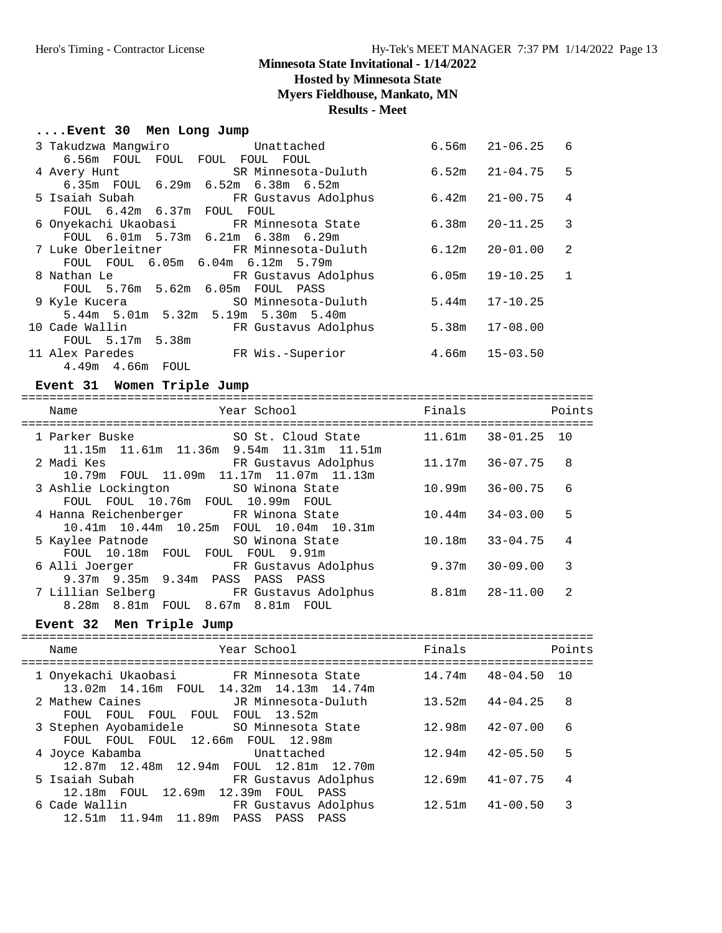**Hosted by Minnesota State**

**Myers Fieldhouse, Mankato, MN**

## **Results - Meet**

## **....Event 30 Men Long Jump**

| 3 Takudzwa Manqwiro            | Unattached                                          |                    | $6.56m$ $21-06.25$ 6 |   |
|--------------------------------|-----------------------------------------------------|--------------------|----------------------|---|
| 6.56m FOUL FOUL FOUL FOUL FOUL |                                                     |                    |                      |   |
| 4 Avery Hunt                   | SR Minnesota-Duluth                                 |                    | 6.52m 21-04.75       | 5 |
|                                | 6.35m FOUL 6.29m 6.52m 6.38m 6.52m                  |                    |                      |   |
|                                | 5 Isaiah Subah                 FR Gustavus Adolphus | $6.42m$ $21-00.75$ |                      | 4 |
| FOUL 6.42m 6.37m FOUL FOUL     |                                                     |                    |                      |   |
|                                | 6 Onyekachi Ukaobasi     FR Minnesota State         |                    |                      | 3 |
|                                | FOUL 6.01m 5.73m 6.21m 6.38m 6.29m                  |                    |                      |   |
|                                | 7 Luke Oberleitner             FR Minnesota-Duluth  |                    | $6.12m$ $20-01.00$   | 2 |
|                                | FOUL FOUL 6.05m 6.04m 6.12m 5.79m                   |                    |                      |   |
| 8 Nathan Le                    | FR Gustavus Adolphus                                |                    | $6.05m$ $19-10.25$ 1 |   |
|                                | FOUL 5.76m 5.62m 6.05m FOUL PASS                    |                    |                      |   |
|                                | 9 Kyle Kucera 60 SO Minnesota-Duluth                |                    | $5.44m$ $17-10.25$   |   |
|                                | 5.44m 5.01m 5.32m 5.19m 5.30m 5.40m                 |                    |                      |   |
| 10 Cade Wallin                 | FR Gustavus Adolphus                                |                    | $5.38m$ $17-08.00$   |   |
| FOUL 5.17m 5.38m               |                                                     |                    |                      |   |
| 11 Alex Paredes                | FR Wis.-Superior                                    | $4.66m$ $15-03.50$ |                      |   |
| 4.49m  4.66m  FOUL             |                                                     |                    |                      |   |

## **Event 31 Women Triple Jump**

| Name                                                                             | Year School                          | Finals |                     | Points |
|----------------------------------------------------------------------------------|--------------------------------------|--------|---------------------|--------|
| 1 Parker Buske<br>11.15m 11.61m 11.36m 9.54m 11.31m 11.51m                       | SO St. Cloud State                   | 11.61m | $38 - 01.25$        | 10     |
| 2 Madi Kes<br>10.79m FOUL 11.09m 11.17m 11.07m 11.13m                            | FR Gustavus Adolphus                 | 11.17m | $36 - 07.75$        | 8      |
| 3 Ashlie Lockington 50 Winona State<br>FOUL FOUL 10.76m FOUL 10.99m FOUL         |                                      | 10.99m | $36 - 00.75$        | 6      |
| 4 Hanna Reichenberger FR Winona State<br>10.41m 10.44m 10.25m FOUL 10.04m 10.31m |                                      |        | $10.44m$ $34-03.00$ | 5      |
| 5 Kaylee Patnode<br>FOUL 10.18m FOUL FOUL FOUL 9.91m                             | SO Winona State                      | 10.18m | $33 - 04.75$        | 4      |
| 6 Alli Joerger<br>9.37m 9.35m 9.34m PASS                                         | FR Gustavus Adolphus<br>PASS<br>PASS | 9.37m  | $30 - 09.00$        | 3      |
| 7 Lillian Selberg TR Gustavus Adolphus<br>8.28m 8.81m FOUL 8.67m 8.81m FOUL      |                                      | 8.81m  | $28 - 11.00$        | 2      |

## **Event 32 Men Triple Jump**

| Name                                                                                     | Year School                  | Finals              |              | Points |
|------------------------------------------------------------------------------------------|------------------------------|---------------------|--------------|--------|
| 1 Onyekachi Ukaobasi       FR Minnesota State<br>13.02m 14.16m FOUL 14.32m 14.13m 14.74m |                              | 14.74m              | $48 - 04.50$ | 1 O    |
| 2 Mathew Caines<br>FOUL FOUL FOUL FOUL FOUL 13.52m                                       | JR Minnesota-Duluth          | 13.52m              | $44 - 04.25$ | 8      |
| 3 Stephen Ayobamidele SO Minnesota State<br>FOUL FOUL FOUL 12.66m FOUL 12.98m            |                              | $12.98m$ $42-07.00$ |              | 6      |
| 4 Joyce Kabamba<br>12.87m 12.48m 12.94m FOUL 12.81m 12.70m                               | Unattached                   | 12.94m              | $42 - 05.50$ | 5      |
| 5 Isaiah Subah<br>12.18m FOUL 12.69m 12.39m FOUL                                         | FR Gustavus Adolphus<br>PASS | 12.69m              | $41 - 07.75$ | 4      |
| 6 Cade Wallin<br>12.51m 11.94m 11.89m PASS PASS                                          | FR Gustavus Adolphus<br>PASS | $12.51m$ $41-00.50$ |              | 3      |
|                                                                                          |                              |                     |              |        |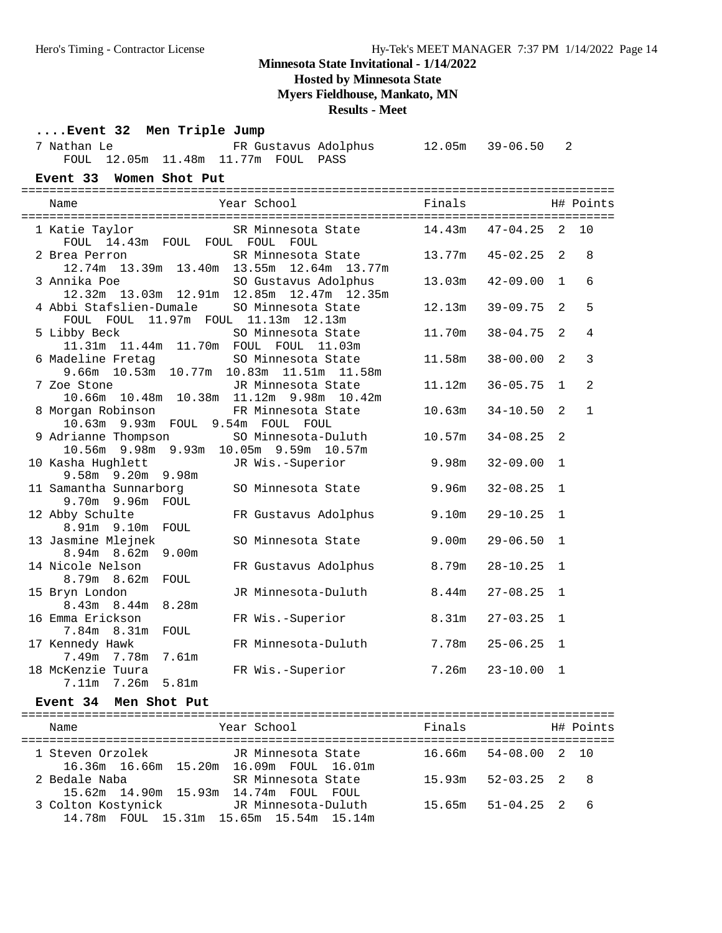**Hosted by Minnesota State**

**Myers Fieldhouse, Mankato, MN**

## **Results - Meet**

## **....Event 32 Men Triple Jump**

| 7 Nathan Le |                                     |  | FR Gustavus Adolphus | 12.05m 39-06.50 2 |  |
|-------------|-------------------------------------|--|----------------------|-------------------|--|
|             | FOUL 12.05m 11.48m 11.77m FOUL PASS |  |                      |                   |  |

## **Event 33 Women Shot Put**

| Name                                                                                               | Year School Finals                                  |        | H# Points    |                |                |
|----------------------------------------------------------------------------------------------------|-----------------------------------------------------|--------|--------------|----------------|----------------|
| FOUL 14.43m FOUL FOUL FOUL FOUL                                                                    | 1 Katie Taylor SR Minnesota State 14.43m 47-04.25 2 |        |              |                | 10             |
| 2 Brea Perron<br>12.74m  13.39m  13.40m  13.55m  12.64m  13.77m                                    | SR Minnesota State 13.77m                           |        | 45-02.25     | 2              | 8              |
| 3 Annika Poe SO Gustavus Adolphus<br>12.32m 13.03m 12.91m 12.85m 12.47m 12.35m                     |                                                     | 13.03m | $42 - 09.00$ | $\mathbf{1}$   | 6              |
| 4 Abbi Stafslien-Dumale SO Minnesota State<br>FOUL FOUL 11.97m FOUL 11.13m 12.13m                  |                                                     | 12.13m | $39 - 09.75$ | 2              | 5              |
| 5 Libby Beck 60 SO Minnesota State<br>11.31m  11.44m  11.70m  FOUL  FOUL  11.03m                   |                                                     | 11.70m | $38 - 04.75$ | 2              | 4              |
| 6 Madeline Fretag 60 Minnesota State<br>$9.66$ m $10.53$ m $10.77$ m $10.83$ m $11.51$ m $11.58$ m |                                                     | 11.58m | $38 - 00.00$ | $\mathfrak{D}$ | $\overline{3}$ |
| 7 Zoe Stone<br>10.66m  10.48m  10.38m  11.12m  9.98m  10.42m                                       | JR Minnesota State                                  | 11.12m | $36 - 05.75$ | $\mathbf{1}$   | 2              |
| 8 Morgan Robinson<br>10.63m 9.93m FOUL 9.54m FOUL FOUL                                             | FR Minnesota State                                  | 10.63m | $34 - 10.50$ | 2              | $\mathbf{1}$   |
| 9 Adrianne Thompson<br>10.56m 9.98m 9.93m 10.05m 9.59m 10.57m                                      | SO Minnesota-Duluth                                 | 10.57m | $34 - 08.25$ | 2              |                |
| 10 Kasha Hughlett<br>$9.58m$ $9.20m$ $9.98m$                                                       | JR Wis.-Superior                                    | 9.98m  | $32 - 09.00$ | 1              |                |
| 11 Samantha Sunnarborg<br>9.70m 9.96m FOUL                                                         | SO Minnesota State                                  | 9.96m  | $32 - 08.25$ | $\mathbf{1}$   |                |
| 12 Abby Schulte<br>8.91m 9.10m FOUL                                                                | FR Gustavus Adolphus                                | 9.10m  | $29 - 10.25$ | 1              |                |
| 13 Jasmine Mlejnek<br>8.94m 8.62m 9.00m                                                            | SO Minnesota State                                  | 9.00m  | $29 - 06.50$ | $\mathbf{1}$   |                |
| 14 Nicole Nelson<br>8.79m 8.62m FOUL                                                               | FR Gustavus Adolphus                                | 8.79m  | $28 - 10.25$ | 1              |                |
| 15 Bryn London<br>8.43m 8.44m 8.28m                                                                | JR Minnesota-Duluth                                 | 8.44m  | $27 - 08.25$ | $\mathbf{1}$   |                |
| 16 Emma Erickson<br>7.84m 8.31m<br>FOUL                                                            | FR Wis.-Superior                                    | 8.31m  | $27 - 03.25$ | $\mathbf{1}$   |                |
| 17 Kennedy Hawk<br>7.49m 7.78m 7.61m                                                               | FR Minnesota-Duluth                                 | 7.78m  | $25 - 06.25$ | $\mathbf{1}$   |                |
| 18 McKenzie Tuura<br>5.81m<br>7.11m 7.26m                                                          | FR Wis.-Superior                                    | 7.26m  | $23 - 10.00$ | $\mathbf{1}$   |                |

## **Event 34 Men Shot Put**

| Name                                                          | Year School         | Finals                       | H# Points |
|---------------------------------------------------------------|---------------------|------------------------------|-----------|
| 1 Steven Orzolek<br>16.36m 16.66m 15.20m 16.09m FOUL 16.01m   | JR Minnesota State  | $16.66m$ $54-08.00$ $2$ $10$ |           |
| 2 Bedale Naba<br>15.62m 14.90m 15.93m 14.74m FOUL FOUL        | SR Minnesota State  | $52 - 03.25$ 2 8<br>15.93m   |           |
| 3 Colton Kostynick<br>14.78m FOUL 15.31m 15.65m 15.54m 15.14m | JR Minnesota-Duluth | $51 - 04.25$ 2 6<br>15.65m   |           |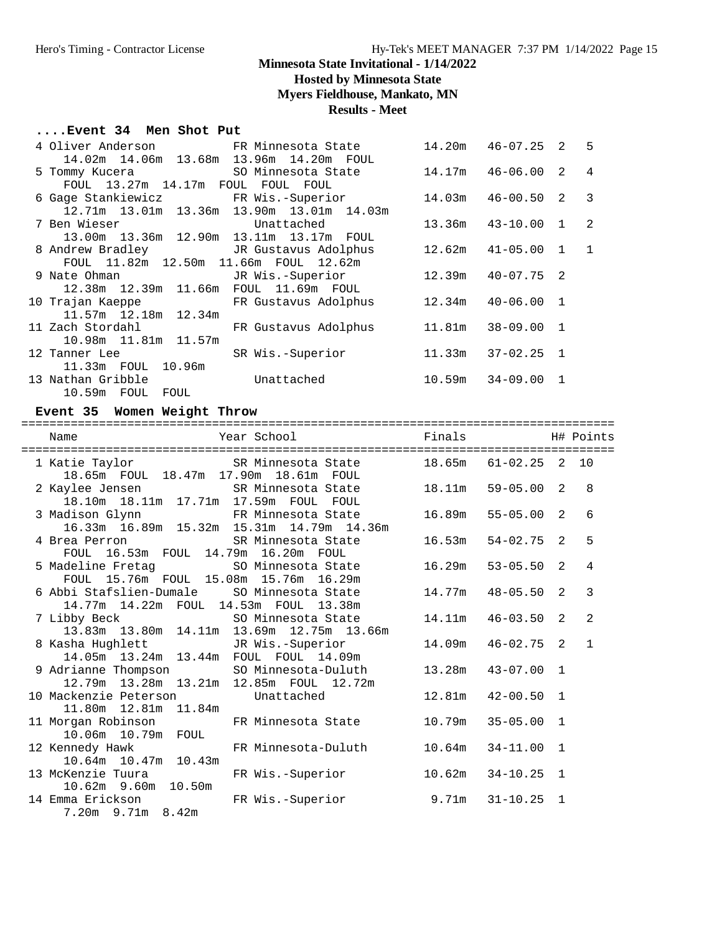## **Hosted by Minnesota State**

**Myers Fieldhouse, Mankato, MN**

## **Results - Meet**

## **....Event 34 Men Shot Put**

|                                                                                                                |                                                         | 14.20m  46-07.25  2  5  |  |
|----------------------------------------------------------------------------------------------------------------|---------------------------------------------------------|-------------------------|--|
| 14.02m  14.06m  13.68m  13.96m  14.20m  FOUL                                                                   |                                                         |                         |  |
|                                                                                                                | 5 Tommy Kucera 50 Minnesota State 14.17m 46-06.00 2 4   |                         |  |
| FOUL 13.27m 14.17m FOUL FOUL FOUL                                                                              |                                                         |                         |  |
|                                                                                                                | 6 Gage Stankiewicz FR Wis.-Superior                     | $14.03m$ $46-00.50$ 2 3 |  |
| 12.71m 13.01m 13.36m 13.90m 13.01m 14.03m                                                                      |                                                         |                         |  |
| 7 Ben Wieser Construction Unattached                                                                           |                                                         | 13.36m  43-10.00  1  2  |  |
| 13.00m 13.36m 12.90m 13.11m 13.17m FOUL                                                                        |                                                         |                         |  |
| 8 Andrew Bradley               JR Gustavus Adolphus                                                            |                                                         | $12.62m$ $41-05.00$ 1 1 |  |
| FOUL 11.82m 12.50m 11.66m FOUL 12.62m                                                                          |                                                         |                         |  |
|                                                                                                                | 9 Nate Ohman JR Wis.-Superior                           | $12.39m$ $40-07.75$ 2   |  |
| 12.38m  12.39m  11.66m  FOUL  11.69m  FOUL                                                                     |                                                         |                         |  |
|                                                                                                                | 10 Trajan Kaeppe KR Gustavus Adolphus 12.34m 40-06.00 1 |                         |  |
| 11.57m 12.18m 12.34m                                                                                           |                                                         |                         |  |
| 11 Zach Stordahl                                                                                               | FR Gustavus Adolphus 11.81m 38-09.00 1                  |                         |  |
| 10.98m 11.81m 11.57m                                                                                           |                                                         |                         |  |
| 12 Tanner Lee the control of the control of the control of the control of the control of the control of the co | SR Wis.-Superior                                        | $11.33m$ $37-02.25$ 1   |  |
| 11.33m FOUL 10.96m                                                                                             |                                                         |                         |  |
| 13 Nathan Gribble                                                                                              | Unattached                                              | $10.59m$ $34-09.00$ 1   |  |
| 10.59m FOUL FOUL                                                                                               |                                                         |                         |  |

## **Event 35 Women Weight Throw**

| Name                                                                                              | ==========================<br>Year School                       | Finals |                |                | H# Points      |
|---------------------------------------------------------------------------------------------------|-----------------------------------------------------------------|--------|----------------|----------------|----------------|
| 18.65m FOUL 18.47m 17.90m 18.61m FOUL                                                             | 1 Katie Taylor 61-02.25 CR Minnesota State 18.65m 61-02.25 2 10 |        |                |                |                |
| 2 Kaylee Jensen SR Minnesota State<br>18.10m  18.11m  17.71m  17.59m  FOUL  FOUL                  |                                                                 | 18.11m | $59 - 05.00$ 2 |                | 8              |
| 3 Madison Glynn FR Minnesota State<br>16.33m 16.89m 15.32m 15.31m 14.79m 14.36m                   |                                                                 | 16.89m | $55 - 05.00$ 2 |                | 6              |
| 4 Brea Perron SR Minnesota State<br>FOUL 16.53m FOUL 14.79m 16.20m FOUL                           |                                                                 | 16.53m | $54 - 02.75$ 2 |                | 5              |
| 5 Madeline Fretag                     SO Minnesota State<br>FOUL 15.76m FOUL 15.08m 15.76m 16.29m |                                                                 | 16.29m | $53 - 05.50$ 2 |                | $\overline{4}$ |
| 6 Abbi Stafslien-Dumale SO Minnesota State<br>14.77m 14.22m FOUL 14.53m FOUL 13.38m               |                                                                 | 14.77m | 48-05.50       | $\mathfrak{D}$ | 3              |
| 7 Libby Beck 60 SO Minnesota State<br>13.83m 13.80m 14.11m 13.69m 12.75m 13.66m                   |                                                                 | 14.11m | $46 - 03.50$ 2 |                | $\mathfrak{D}$ |
| 8 Kasha Hughlett                 JR Wis.-Superior<br>14.05m  13.24m  13.44m  FOUL  FOUL  14.09m   |                                                                 | 14.09m | $46 - 02.75$ 2 |                | $\mathbf{1}$   |
| 9 Adrianne Thompson SO Minnesota-Duluth<br>12.79m 13.28m 13.21m 12.85m FOUL 12.72m                |                                                                 | 13.28m | $43 - 07.00$ 1 |                |                |
| 10 Mackenzie Peterson both Unattached<br>11.80m 12.81m 11.84m                                     |                                                                 | 12.81m | 42-00.50 1     |                |                |
| 11 Morgan Robinson FR Minnesota State<br>10.06m  10.79m  FOUL                                     |                                                                 | 10.79m | $35 - 05.00$   | $\overline{1}$ |                |
| 12 Kennedy Hawk FR Minnesota-Duluth<br>10.64m 10.47m 10.43m                                       |                                                                 | 10.64m | 34-11.00 1     |                |                |
| 13 McKenzie Tuura<br>10.62m 9.60m 10.50m                                                          | FR Wis.-Superior                                                | 10.62m | $34 - 10.25$ 1 |                |                |
| 14 Emma Erickson<br>7.20m 9.71m 8.42m                                                             | FR Wis.-Superior                                                | 9.71m  | $31 - 10.25$ 1 |                |                |